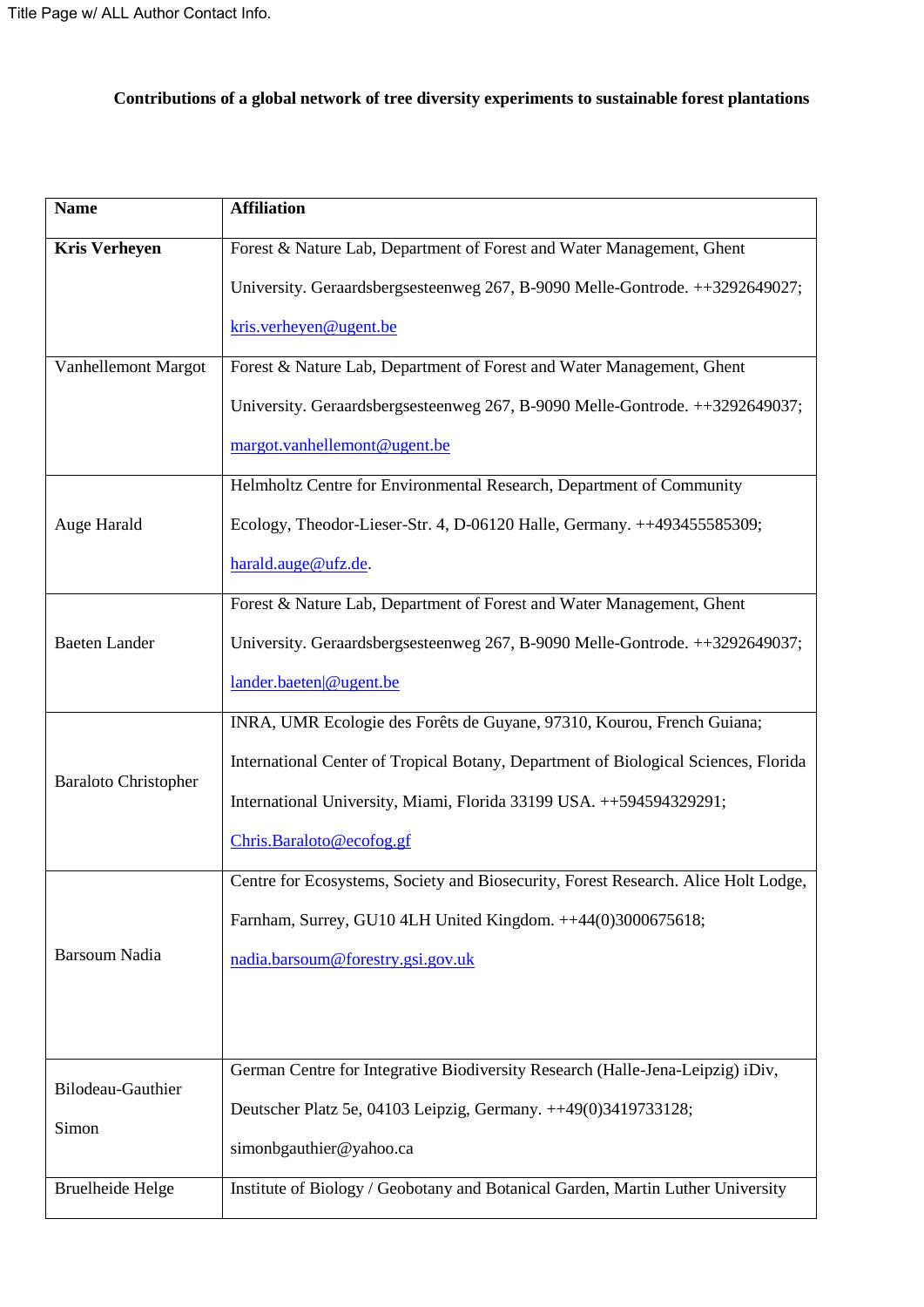## **Contributions of a global network of tree diversity experiments to sustainable forest plantations**

| <b>Name</b>                 | <b>Affiliation</b>                                                                  |  |  |  |  |  |  |
|-----------------------------|-------------------------------------------------------------------------------------|--|--|--|--|--|--|
| <b>Kris Verheyen</b>        | Forest & Nature Lab, Department of Forest and Water Management, Ghent               |  |  |  |  |  |  |
|                             | University. Geraardsbergsesteenweg 267, B-9090 Melle-Gontrode. ++3292649027;        |  |  |  |  |  |  |
|                             | kris.verheyen@ugent.be                                                              |  |  |  |  |  |  |
| Vanhellemont Margot         | Forest & Nature Lab, Department of Forest and Water Management, Ghent               |  |  |  |  |  |  |
|                             | University. Geraardsbergsesteenweg 267, B-9090 Melle-Gontrode. ++3292649037;        |  |  |  |  |  |  |
|                             | margot.vanhellemont@ugent.be                                                        |  |  |  |  |  |  |
|                             | Helmholtz Centre for Environmental Research, Department of Community                |  |  |  |  |  |  |
| Auge Harald                 | Ecology, Theodor-Lieser-Str. 4, D-06120 Halle, Germany. ++493455585309;             |  |  |  |  |  |  |
|                             | harald.auge@ufz.de.                                                                 |  |  |  |  |  |  |
|                             | Forest & Nature Lab, Department of Forest and Water Management, Ghent               |  |  |  |  |  |  |
| <b>Baeten Lander</b>        | University. Geraardsbergsesteenweg 267, B-9090 Melle-Gontrode. ++3292649037;        |  |  |  |  |  |  |
|                             | lander.baeten @ugent.be                                                             |  |  |  |  |  |  |
|                             | INRA, UMR Ecologie des Forêts de Guyane, 97310, Kourou, French Guiana;              |  |  |  |  |  |  |
| <b>Baraloto Christopher</b> | International Center of Tropical Botany, Department of Biological Sciences, Florida |  |  |  |  |  |  |
|                             | International University, Miami, Florida 33199 USA. ++594594329291;                 |  |  |  |  |  |  |
|                             | Chris.Baraloto@ecofog.gf                                                            |  |  |  |  |  |  |
|                             | Centre for Ecosystems, Society and Biosecurity, Forest Research. Alice Holt Lodge,  |  |  |  |  |  |  |
|                             | Farnham, Surrey, GU10 4LH United Kingdom. ++44(0)3000675618;                        |  |  |  |  |  |  |
| Barsoum Nadia               | nadia.barsoum@forestry.gsi.gov.uk                                                   |  |  |  |  |  |  |
|                             |                                                                                     |  |  |  |  |  |  |
|                             |                                                                                     |  |  |  |  |  |  |
| Bilodeau-Gauthier           | German Centre for Integrative Biodiversity Research (Halle-Jena-Leipzig) iDiv,      |  |  |  |  |  |  |
|                             | Deutscher Platz 5e, 04103 Leipzig, Germany. ++49(0)3419733128;                      |  |  |  |  |  |  |
| Simon                       | simonbgauthier@yahoo.ca                                                             |  |  |  |  |  |  |
| <b>Bruelheide Helge</b>     | Institute of Biology / Geobotany and Botanical Garden, Martin Luther University     |  |  |  |  |  |  |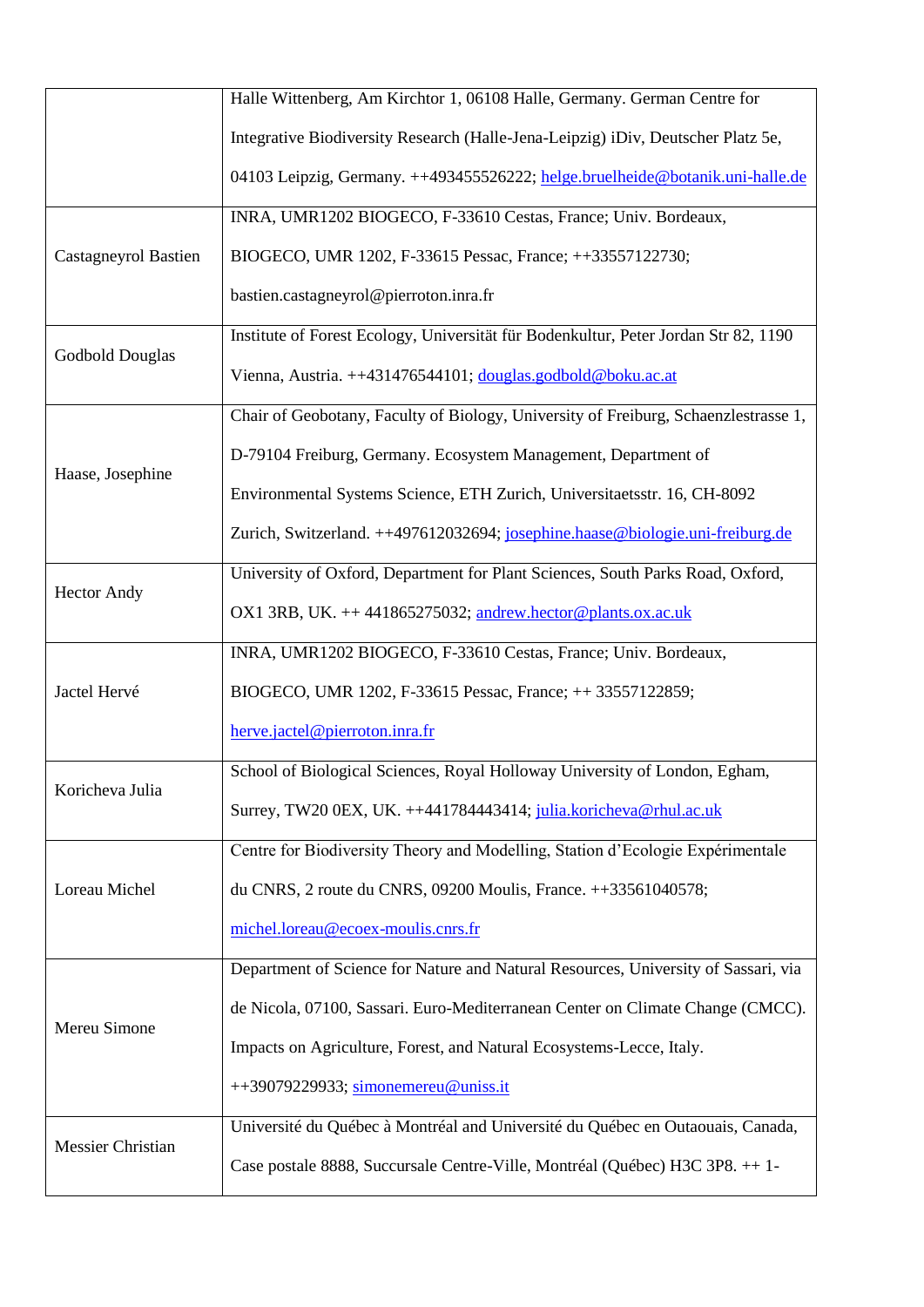|                             | Halle Wittenberg, Am Kirchtor 1, 06108 Halle, Germany. German Centre for            |  |  |  |  |  |  |  |
|-----------------------------|-------------------------------------------------------------------------------------|--|--|--|--|--|--|--|
|                             | Integrative Biodiversity Research (Halle-Jena-Leipzig) iDiv, Deutscher Platz 5e,    |  |  |  |  |  |  |  |
|                             | 04103 Leipzig, Germany. ++493455526222; helge.bruelheide@botanik.uni-halle.de       |  |  |  |  |  |  |  |
|                             | INRA, UMR1202 BIOGECO, F-33610 Cestas, France; Univ. Bordeaux,                      |  |  |  |  |  |  |  |
| <b>Castagneyrol Bastien</b> | BIOGECO, UMR 1202, F-33615 Pessac, France; ++33557122730;                           |  |  |  |  |  |  |  |
|                             | bastien.castagneyrol@pierroton.inra.fr                                              |  |  |  |  |  |  |  |
| <b>Godbold Douglas</b>      | Institute of Forest Ecology, Universität für Bodenkultur, Peter Jordan Str 82, 1190 |  |  |  |  |  |  |  |
|                             | Vienna, Austria. ++431476544101; douglas.godbold@boku.ac.at                         |  |  |  |  |  |  |  |
|                             | Chair of Geobotany, Faculty of Biology, University of Freiburg, Schaenzlestrasse 1, |  |  |  |  |  |  |  |
|                             | D-79104 Freiburg, Germany. Ecosystem Management, Department of                      |  |  |  |  |  |  |  |
| Haase, Josephine            | Environmental Systems Science, ETH Zurich, Universitaetsstr. 16, CH-8092            |  |  |  |  |  |  |  |
|                             | Zurich, Switzerland. ++497612032694; josephine.haase@biologie.uni-freiburg.de       |  |  |  |  |  |  |  |
|                             | University of Oxford, Department for Plant Sciences, South Parks Road, Oxford,      |  |  |  |  |  |  |  |
| <b>Hector Andy</b>          | OX1 3RB, UK. ++441865275032; andrew.hector@plants.ox.ac.uk                          |  |  |  |  |  |  |  |
|                             | INRA, UMR1202 BIOGECO, F-33610 Cestas, France; Univ. Bordeaux,                      |  |  |  |  |  |  |  |
| Jactel Hervé                | BIOGECO, UMR 1202, F-33615 Pessac, France; ++33557122859;                           |  |  |  |  |  |  |  |
|                             | herve.jactel@pierroton.inra.fr                                                      |  |  |  |  |  |  |  |
| Koricheva Julia             | School of Biological Sciences, Royal Holloway University of London, Egham,          |  |  |  |  |  |  |  |
|                             | Surrey, TW20 0EX, UK. ++441784443414; julia.koricheva@rhul.ac.uk                    |  |  |  |  |  |  |  |
|                             | Centre for Biodiversity Theory and Modelling, Station d'Ecologie Expérimentale      |  |  |  |  |  |  |  |
| Loreau Michel               | du CNRS, 2 route du CNRS, 09200 Moulis, France. ++33561040578;                      |  |  |  |  |  |  |  |
|                             | michel.loreau@ecoex-moulis.cnrs.fr                                                  |  |  |  |  |  |  |  |
|                             | Department of Science for Nature and Natural Resources, University of Sassari, via  |  |  |  |  |  |  |  |
|                             | de Nicola, 07100, Sassari. Euro-Mediterranean Center on Climate Change (CMCC).      |  |  |  |  |  |  |  |
| Mereu Simone                | Impacts on Agriculture, Forest, and Natural Ecosystems-Lecce, Italy.                |  |  |  |  |  |  |  |
|                             | ++39079229933; simonemereu@uniss.it                                                 |  |  |  |  |  |  |  |
|                             | Université du Québec à Montréal and Université du Québec en Outaouais, Canada,      |  |  |  |  |  |  |  |
| Messier Christian           | Case postale 8888, Succursale Centre-Ville, Montréal (Québec) H3C 3P8. ++ 1-        |  |  |  |  |  |  |  |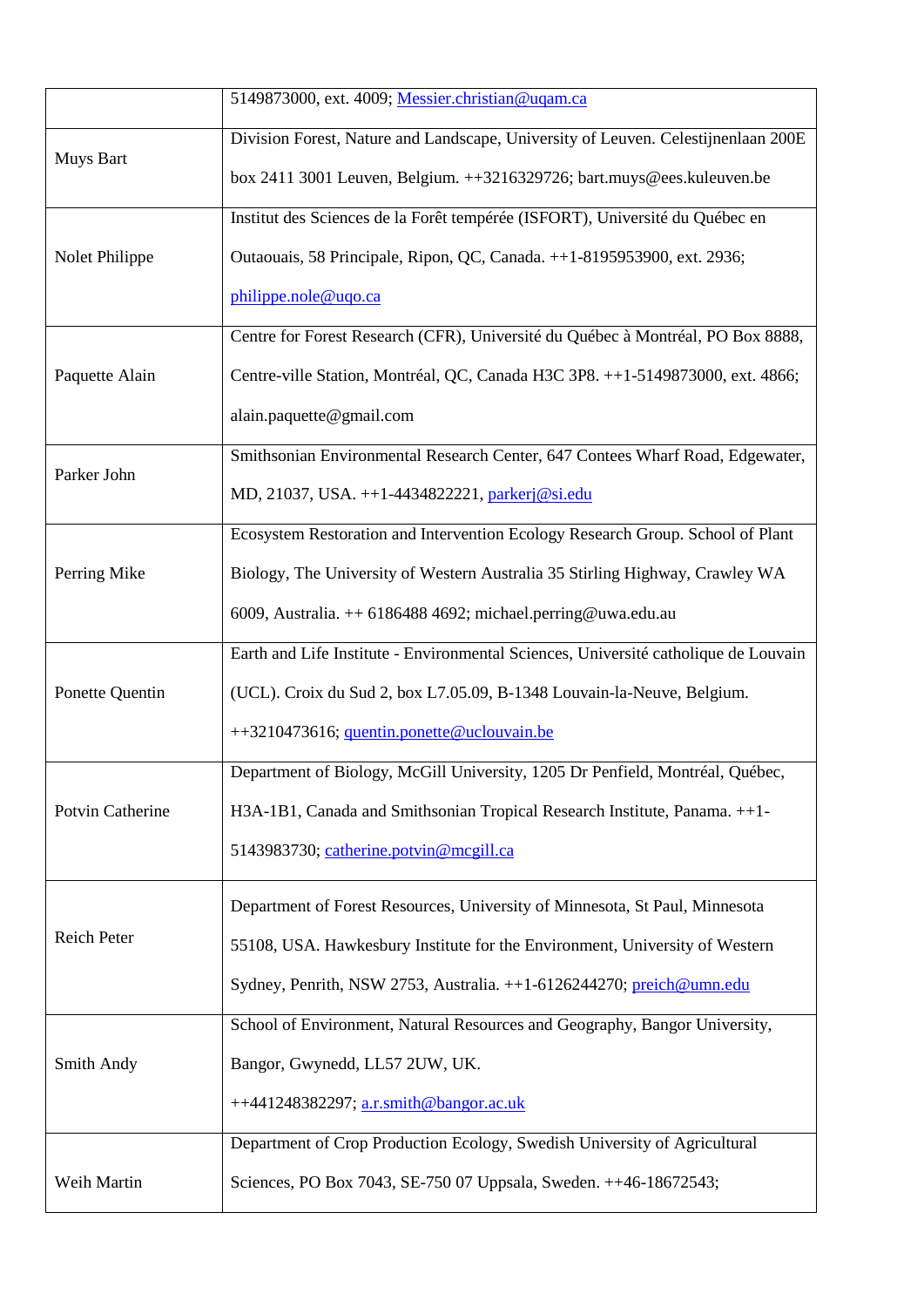|                  | 5149873000, ext. 4009; Messier.christian@uqam.ca                                    |  |  |  |  |  |  |  |
|------------------|-------------------------------------------------------------------------------------|--|--|--|--|--|--|--|
|                  | Division Forest, Nature and Landscape, University of Leuven. Celestijnenlaan 200E   |  |  |  |  |  |  |  |
| Muys Bart        | box 2411 3001 Leuven, Belgium. ++3216329726; bart.muys@ees.kuleuven.be              |  |  |  |  |  |  |  |
|                  | Institut des Sciences de la Forêt tempérée (ISFORT), Université du Québec en        |  |  |  |  |  |  |  |
| Nolet Philippe   | Outaouais, 58 Principale, Ripon, QC, Canada. ++1-8195953900, ext. 2936;             |  |  |  |  |  |  |  |
|                  | philippe.nole@uqo.ca                                                                |  |  |  |  |  |  |  |
|                  | Centre for Forest Research (CFR), Université du Québec à Montréal, PO Box 8888,     |  |  |  |  |  |  |  |
| Paquette Alain   | Centre-ville Station, Montréal, QC, Canada H3C 3P8. ++1-5149873000, ext. 4866;      |  |  |  |  |  |  |  |
|                  | alain.paquette@gmail.com                                                            |  |  |  |  |  |  |  |
| Parker John      | Smithsonian Environmental Research Center, 647 Contees Wharf Road, Edgewater,       |  |  |  |  |  |  |  |
|                  | MD, 21037, USA. ++1-4434822221, parkerj@si.edu                                      |  |  |  |  |  |  |  |
|                  | Ecosystem Restoration and Intervention Ecology Research Group. School of Plant      |  |  |  |  |  |  |  |
| Perring Mike     | Biology, The University of Western Australia 35 Stirling Highway, Crawley WA        |  |  |  |  |  |  |  |
|                  | 6009, Australia. $++$ 6186488 4692; michael.perring@uwa.edu.au                      |  |  |  |  |  |  |  |
|                  | Earth and Life Institute - Environmental Sciences, Université catholique de Louvain |  |  |  |  |  |  |  |
| Ponette Quentin  | (UCL). Croix du Sud 2, box L7.05.09, B-1348 Louvain-la-Neuve, Belgium.              |  |  |  |  |  |  |  |
|                  | ++3210473616; quentin.ponette@uclouvain.be                                          |  |  |  |  |  |  |  |
|                  | Department of Biology, McGill University, 1205 Dr Penfield, Montréal, Québec,       |  |  |  |  |  |  |  |
| Potvin Catherine | H3A-1B1, Canada and Smithsonian Tropical Research Institute, Panama. ++1-           |  |  |  |  |  |  |  |
|                  | 5143983730; catherine.potvin@mcgill.ca                                              |  |  |  |  |  |  |  |
|                  | Department of Forest Resources, University of Minnesota, St Paul, Minnesota         |  |  |  |  |  |  |  |
| Reich Peter      | 55108, USA. Hawkesbury Institute for the Environment, University of Western         |  |  |  |  |  |  |  |
|                  | Sydney, Penrith, NSW 2753, Australia. ++1-6126244270; preich@umn.edu                |  |  |  |  |  |  |  |
|                  | School of Environment, Natural Resources and Geography, Bangor University,          |  |  |  |  |  |  |  |
| Smith Andy       | Bangor, Gwynedd, LL57 2UW, UK.                                                      |  |  |  |  |  |  |  |
|                  | ++441248382297; a.r.smith@bangor.ac.uk                                              |  |  |  |  |  |  |  |
|                  | Department of Crop Production Ecology, Swedish University of Agricultural           |  |  |  |  |  |  |  |
| Weih Martin      | Sciences, PO Box 7043, SE-750 07 Uppsala, Sweden. ++46-18672543;                    |  |  |  |  |  |  |  |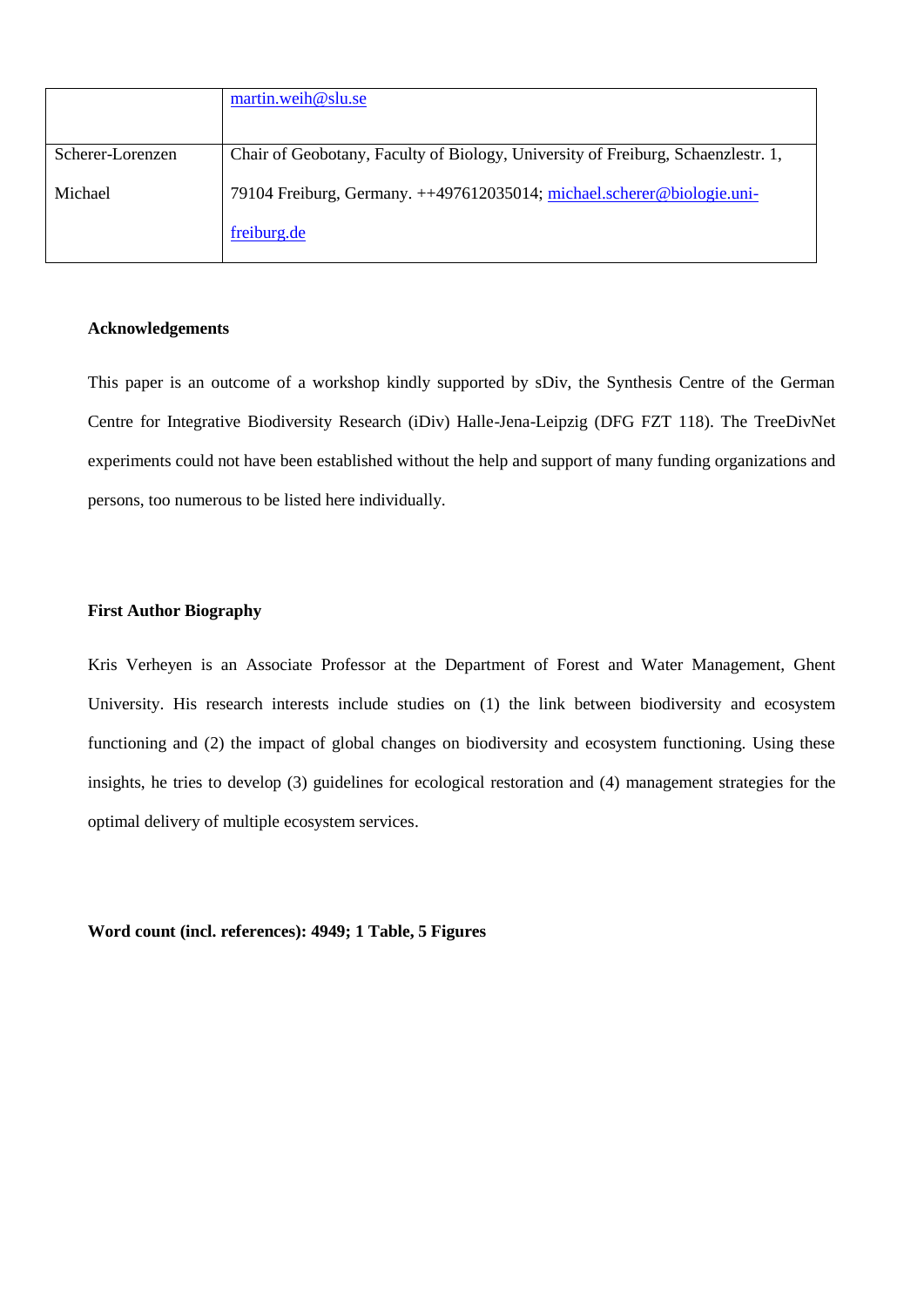|                  | martin.weih@slu.se                                                               |
|------------------|----------------------------------------------------------------------------------|
|                  |                                                                                  |
| Scherer-Lorenzen | Chair of Geobotany, Faculty of Biology, University of Freiburg, Schaenzlestr. 1, |
| Michael          | 79104 Freiburg, Germany. ++497612035014; michael.scherer@biologie.uni-           |
|                  | freiburg.de                                                                      |

#### **Acknowledgements**

This paper is an outcome of a workshop kindly supported by sDiv, the Synthesis Centre of the German Centre for Integrative Biodiversity Research (iDiv) Halle-Jena-Leipzig (DFG FZT 118). The TreeDivNet experiments could not have been established without the help and support of many funding organizations and persons, too numerous to be listed here individually.

## **First Author Biography**

Kris Verheyen is an Associate Professor at the Department of Forest and Water Management, Ghent University. His research interests include studies on (1) the link between biodiversity and ecosystem functioning and (2) the impact of global changes on biodiversity and ecosystem functioning. Using these insights, he tries to develop (3) guidelines for ecological restoration and (4) management strategies for the optimal delivery of multiple ecosystem services.

**Word count (incl. references): 4949; 1 Table, 5 Figures**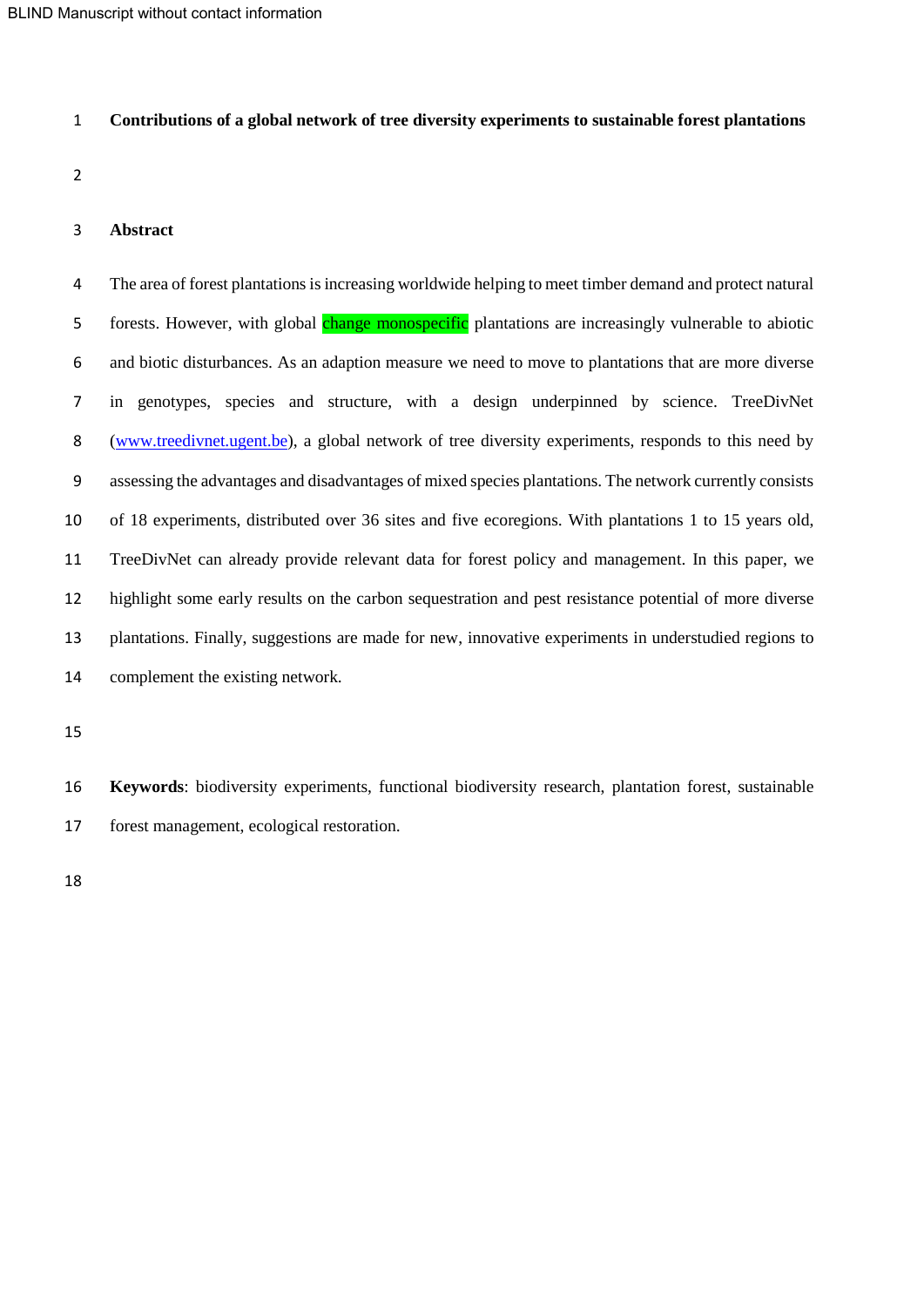#### **Contributions of a global network of tree diversity experiments to sustainable forest plantations**

#### **Abstract**

 The area of forest plantations is increasing worldwide helping to meet timber demand and protect natural 5 forests. However, with global change monospecific plantations are increasingly vulnerable to abiotic and biotic disturbances. As an adaption measure we need to move to plantations that are more diverse in genotypes, species and structure, with a design underpinned by science. TreeDivNet [\(www.treedivnet.ugent.be\)](http://www.treedivnet.ugent.be/), a global network of tree diversity experiments, responds to this need by assessing the advantages and disadvantages of mixed species plantations. The network currently consists of 18 experiments, distributed over 36 sites and five ecoregions. With plantations 1 to 15 years old, TreeDivNet can already provide relevant data for forest policy and management. In this paper, we highlight some early results on the carbon sequestration and pest resistance potential of more diverse plantations. Finally, suggestions are made for new, innovative experiments in understudied regions to complement the existing network.

 **Keywords**: biodiversity experiments, functional biodiversity research, plantation forest, sustainable forest management, ecological restoration.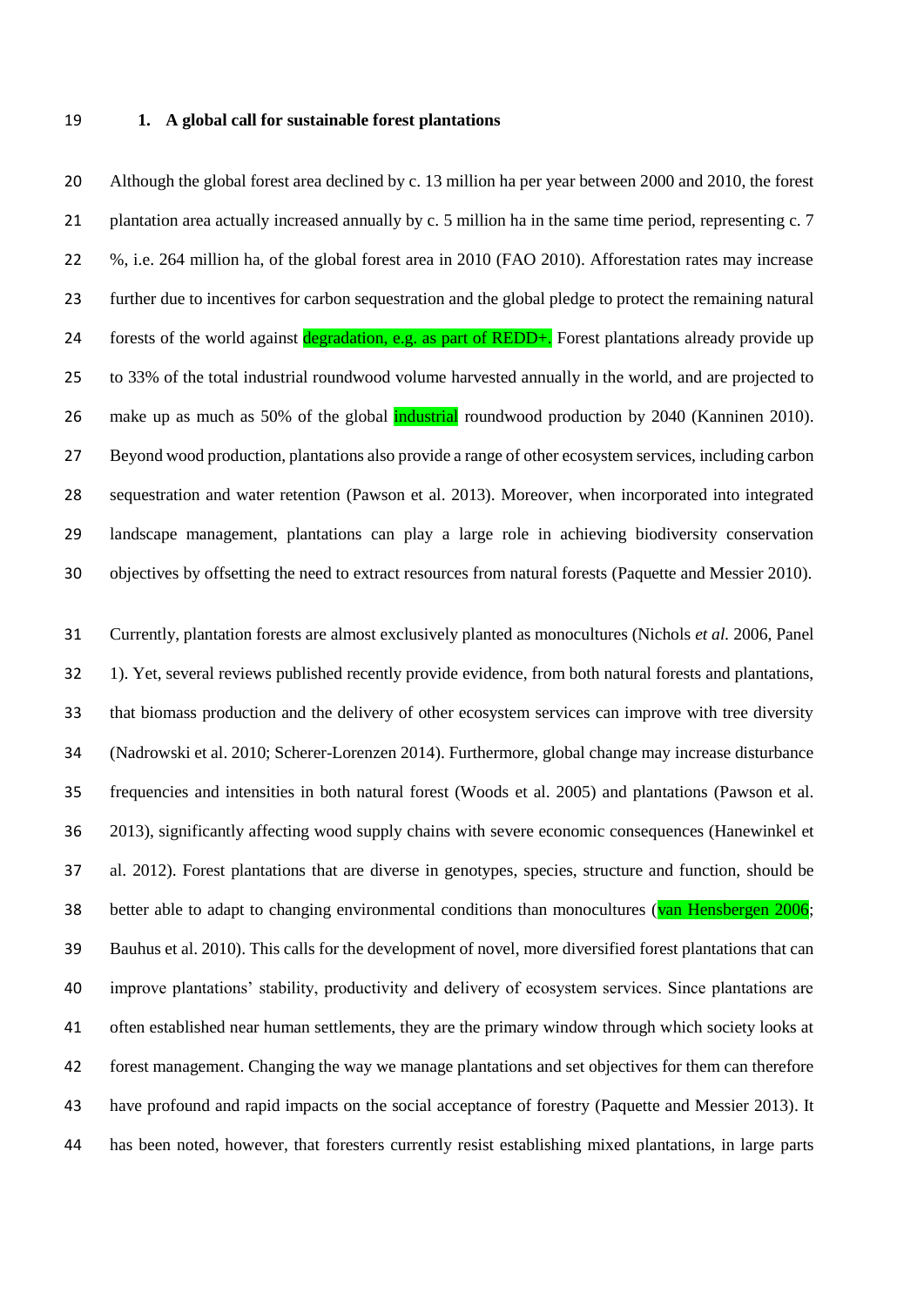#### **1. A global call for sustainable forest plantations**

 Although the global forest area declined by c. 13 million ha per year between 2000 and 2010, the forest 21 plantation area actually increased annually by c. 5 million ha in the same time period, representing c. 7 %, i.e. 264 million ha, of the global forest area in 2010 (FAO 2010). Afforestation rates may increase further due to incentives for carbon sequestration and the global pledge to protect the remaining natural 24 forests of the world against degradation, e.g. as part of REDD+. Forest plantations already provide up to 33% of the total industrial roundwood volume harvested annually in the world, and are projected to 26 make up as much as 50% of the global **industrial** roundwood production by 2040 [\(Kanninen 2010\)](#page-17-0). Beyond wood production, plantations also provide a range of other ecosystem services, including carbon sequestration and water retention (Pawson [et al. 2013\)](#page-18-0). Moreover, when incorporated into integrated landscape management, plantations can play a large role in achieving biodiversity conservation objectives by offsetting the need to extract resources from natural forests [\(Paquette and Messier 2010\)](#page-17-1).

 Currently, plantation forests are almost exclusively planted as monocultures (Nichols *et al.* 2006, Panel 1). Yet, several reviews published recently provide evidence, from both natural forests and plantations, that biomass production and the delivery of other ecosystem services can improve with tree diversity (Nadrowski et al. 2010; Scherer-Lorenzen 2014). Furthermore, global change may increase disturbance frequencies and intensities in both natural forest (Woods et al. 2005) and plantations (Pawson et al. 2013), significantly affecting wood supply chains with severe economic consequences (Hanewinkel et al. 2012). Forest plantations that are diverse in genotypes, species, structure and function, should be 38 better able to adapt to changing environmental conditions than monocultures (van Hensbergen 2006; Bauhus et al. 2010). This calls for the development of novel, more diversified forest plantations that can improve plantations' stability, productivity and delivery of ecosystem services. Since plantations are often established near human settlements, they are the primary window through which society looks at forest management. Changing the way we manage plantations and set objectives for them can therefore have profound and rapid impacts on the social acceptance of forestry (Paquette and Messier 2013). It has been noted, however, that foresters currently resist establishing mixed plantations, in large parts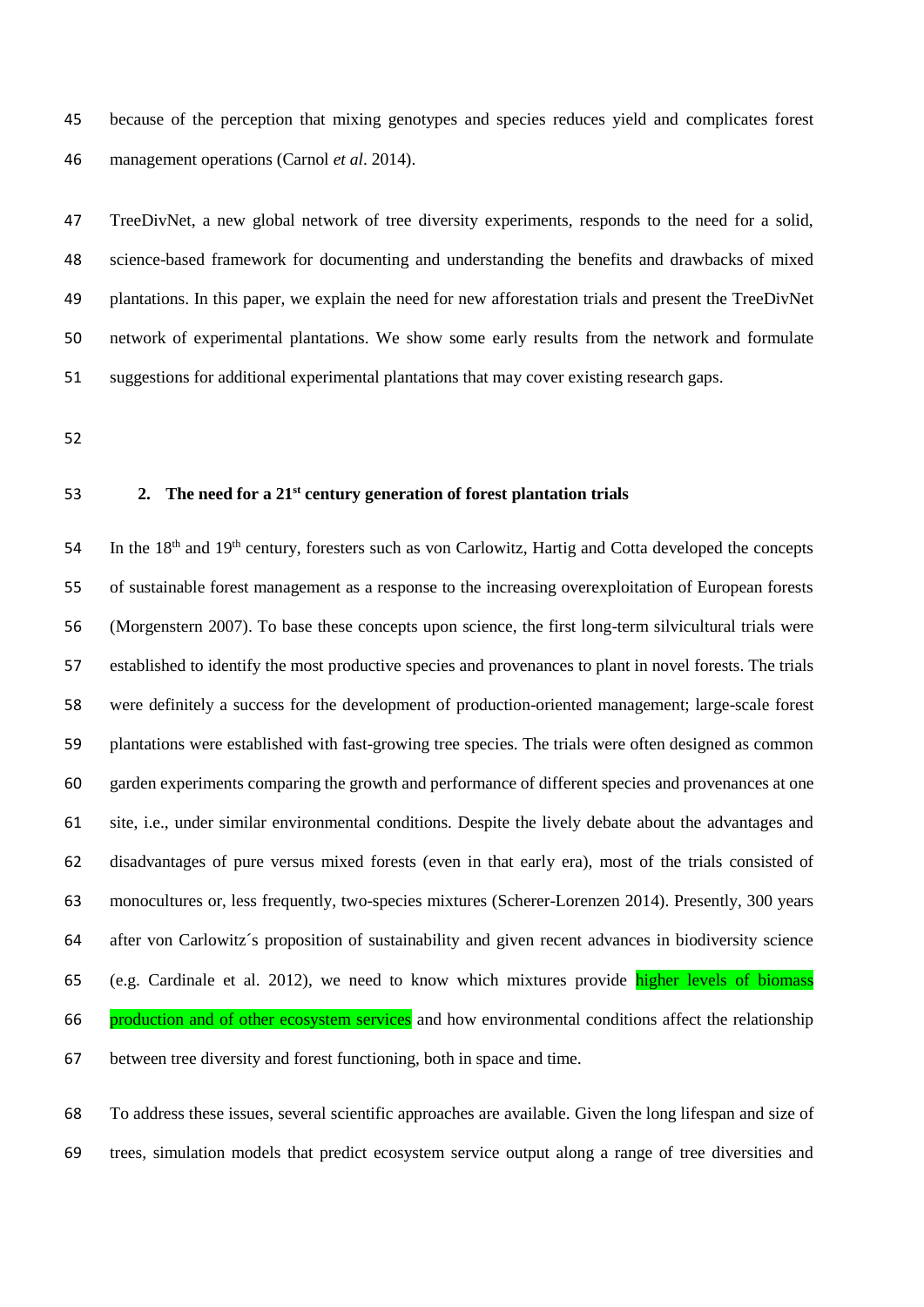because of the perception that mixing genotypes and species reduces yield and complicates forest management operations (Carnol *et al*. 2014).

 TreeDivNet, a new global network of tree diversity experiments, responds to the need for a solid, science-based framework for documenting and understanding the benefits and drawbacks of mixed plantations. In this paper, we explain the need for new afforestation trials and present the TreeDivNet network of experimental plantations. We show some early results from the network and formulate suggestions for additional experimental plantations that may cover existing research gaps.

#### **2. The need for a 21st century generation of forest plantation trials**

54 In the 18<sup>th</sup> and 19<sup>th</sup> century, foresters such as von Carlowitz, Hartig and Cotta developed the concepts of sustainable forest management as a response to the increasing overexploitation of European forests (Morgenstern 2007). To base these concepts upon science, the first long-term silvicultural trials were established to identify the most productive species and provenances to plant in novel forests. The trials were definitely a success for the development of production-oriented management; large-scale forest plantations were established with fast-growing tree species. The trials were often designed as common garden experiments comparing the growth and performance of different species and provenances at one site, i.e., under similar environmental conditions. Despite the lively debate about the advantages and disadvantages of pure versus mixed forests (even in that early era), most of the trials consisted of monocultures or, less frequently, two-species mixtures (Scherer-Lorenzen 2014). Presently, 300 years after von Carlowitz´s proposition of sustainability and given recent advances in biodiversity science (e.g. Cardinale et al. 2012), we need to know which mixtures provide higher levels of biomass production and of other ecosystem services and how environmental conditions affect the relationship between tree diversity and forest functioning, both in space and time.

 To address these issues, several scientific approaches are available. Given the long lifespan and size of trees, simulation models that predict ecosystem service output along a range of tree diversities and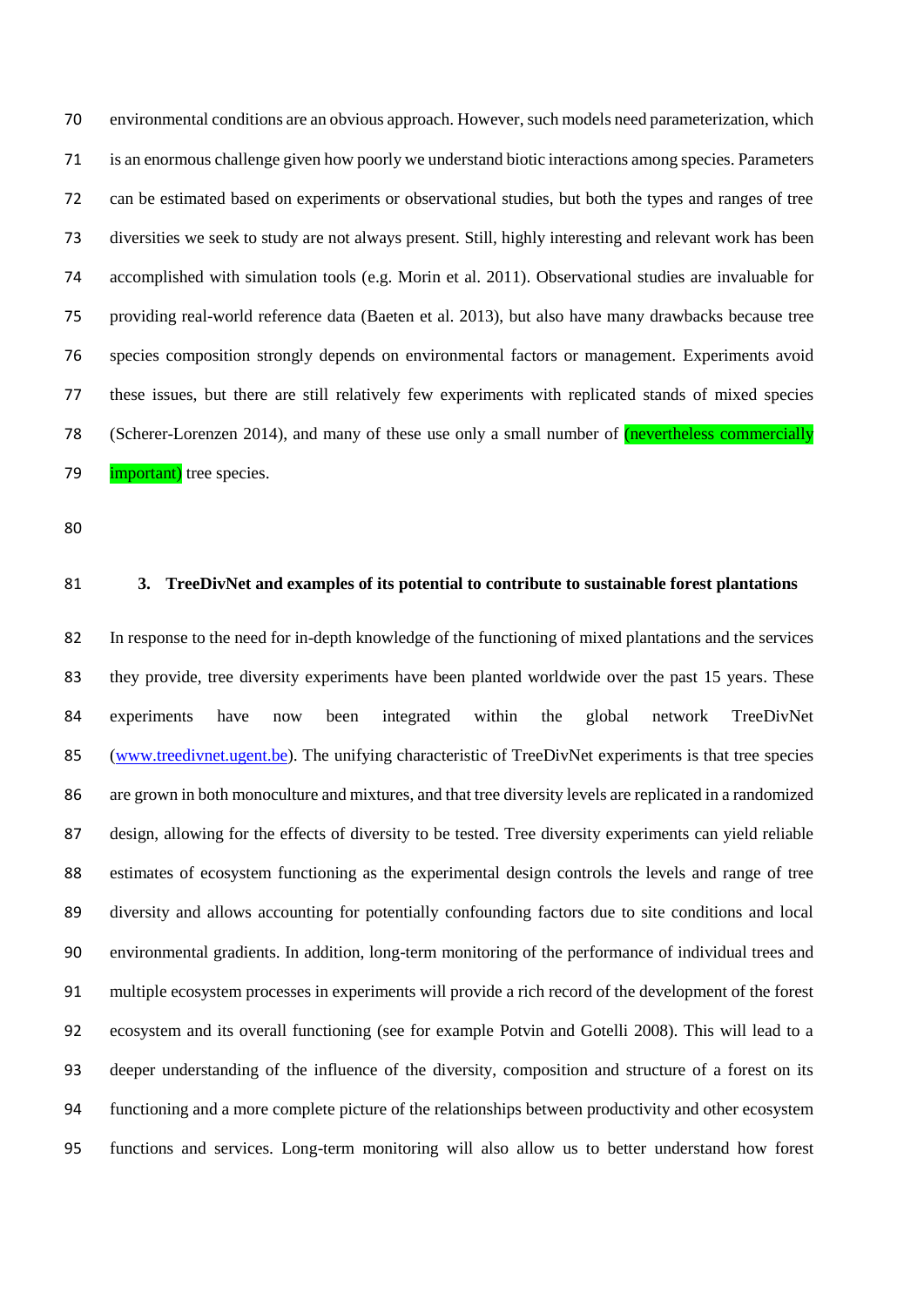environmental conditions are an obvious approach. However, such models need parameterization, which is an enormous challenge given how poorly we understand biotic interactions among species. Parameters can be estimated based on experiments or observational studies, but both the types and ranges of tree diversities we seek to study are not always present. Still, highly interesting and relevant work has been accomplished with simulation tools (e.g. Morin et al. 2011). Observational studies are invaluable for providing real-world reference data (Baeten et al. 2013), but also have many drawbacks because tree species composition strongly depends on environmental factors or management. Experiments avoid these issues, but there are still relatively few experiments with replicated stands of mixed species 78 (Scherer-Lorenzen 2014), and many of these use only a small number of *(nevertheless commercially* **important**) tree species.

#### **3. TreeDivNet and examples of its potential to contribute to sustainable forest plantations**

 In response to the need for in-depth knowledge of the functioning of mixed plantations and the services they provide, tree diversity experiments have been planted worldwide over the past 15 years. These experiments have now been integrated within the global network TreeDivNet [\(www.treedivnet.ugent.be\)](http://www.treedivnet.ugent.be/). The unifying characteristic of TreeDivNet experiments is that tree species are grown in both monoculture and mixtures, and that tree diversity levels are replicated in a randomized design, allowing for the effects of diversity to be tested. Tree diversity experiments can yield reliable estimates of ecosystem functioning as the experimental design controls the levels and range of tree diversity and allows accounting for potentially confounding factors due to site conditions and local environmental gradients. In addition, long-term monitoring of the performance of individual trees and multiple ecosystem processes in experiments will provide a rich record of the development of the forest ecosystem and its overall functioning (see for example Potvin and Gotelli 2008). This will lead to a deeper understanding of the influence of the diversity, composition and structure of a forest on its functioning and a more complete picture of the relationships between productivity and other ecosystem functions and services. Long-term monitoring will also allow us to better understand how forest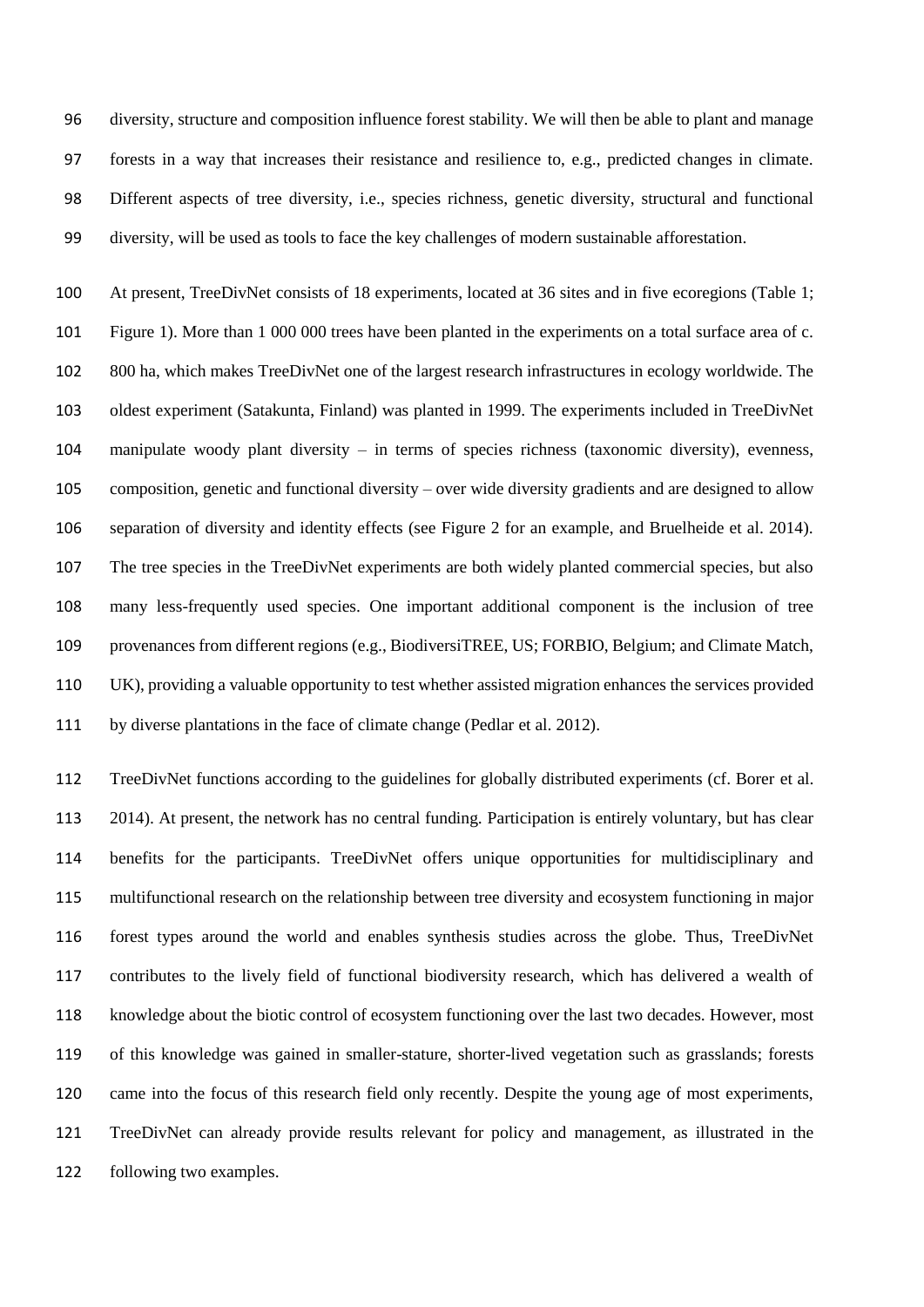diversity, structure and composition influence forest stability. We will then be able to plant and manage forests in a way that increases their resistance and resilience to, e.g., predicted changes in climate. Different aspects of tree diversity, i.e., species richness, genetic diversity, structural and functional diversity, will be used as tools to face the key challenges of modern sustainable afforestation.

 At present, TreeDivNet consists of 18 experiments, located at 36 sites and in five ecoregions (Table 1; Figure 1). More than 1 000 000 trees have been planted in the experiments on a total surface area of c. 800 ha, which makes TreeDivNet one of the largest research infrastructures in ecology worldwide. The oldest experiment (Satakunta, Finland) was planted in 1999. The experiments included in TreeDivNet manipulate woody plant diversity – in terms of species richness (taxonomic diversity), evenness, composition, genetic and functional diversity – over wide diversity gradients and are designed to allow separation of diversity and identity effects (see Figure 2 for an example, and Bruelheide et al. 2014). The tree species in the TreeDivNet experiments are both widely planted commercial species, but also many less-frequently used species. One important additional component is the inclusion of tree provenances from different regions (e.g., BiodiversiTREE, US; FORBIO, Belgium; and Climate Match, UK), providing a valuable opportunity to test whether assisted migration enhances the services provided by diverse plantations in the face of climate change (Pedlar et al. 2012).

 TreeDivNet functions according to the guidelines for globally distributed experiments (cf. Borer et al. 2014). At present, the network has no central funding. Participation is entirely voluntary, but has clear benefits for the participants. TreeDivNet offers unique opportunities for multidisciplinary and multifunctional research on the relationship between tree diversity and ecosystem functioning in major forest types around the world and enables synthesis studies across the globe. Thus, TreeDivNet contributes to the lively field of functional biodiversity research, which has delivered a wealth of knowledge about the biotic control of ecosystem functioning over the last two decades. However, most of this knowledge was gained in smaller-stature, shorter-lived vegetation such as grasslands; forests came into the focus of this research field only recently. Despite the young age of most experiments, TreeDivNet can already provide results relevant for policy and management, as illustrated in the following two examples.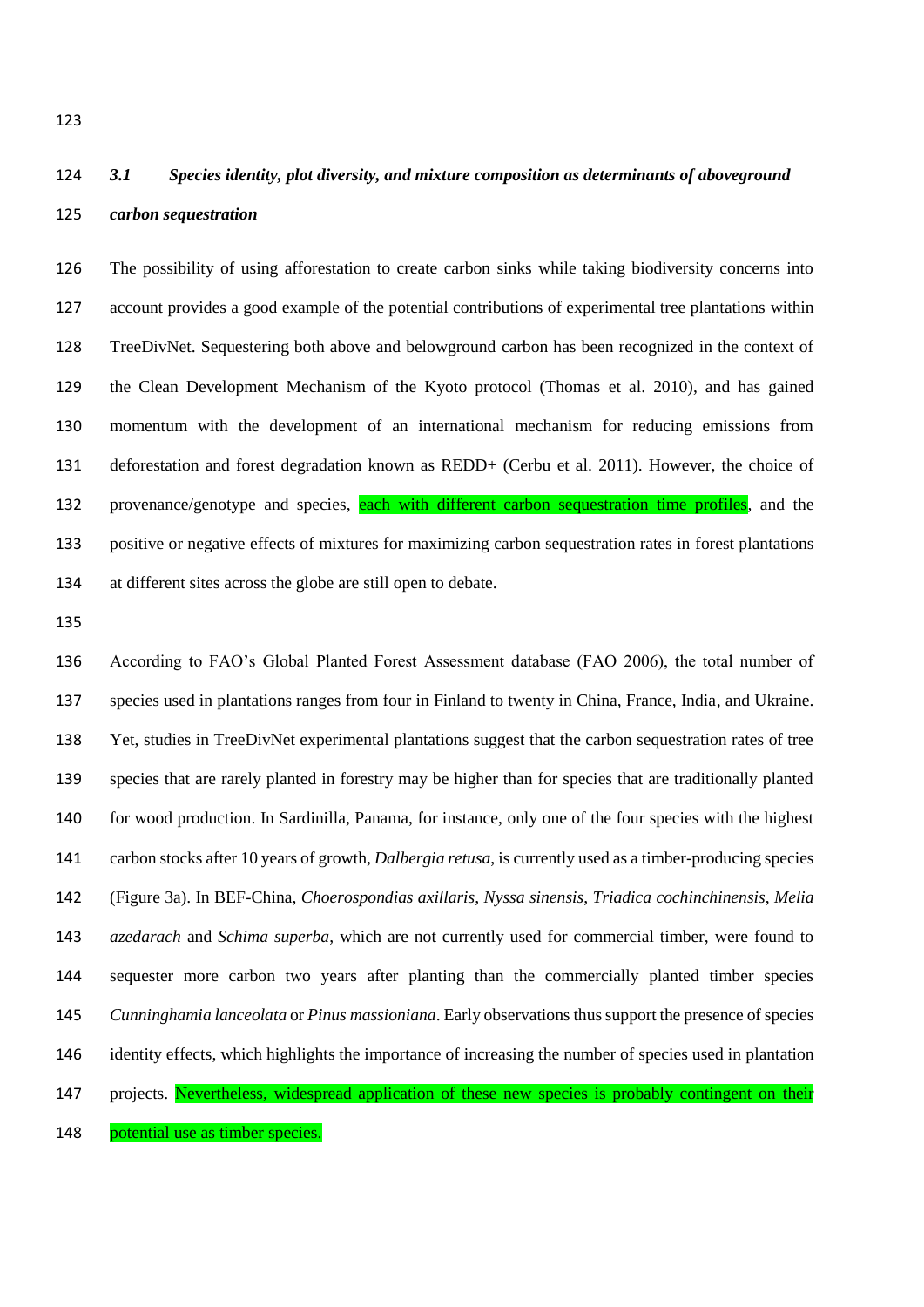# *3.1 Species identity, plot diversity, and mixture composition as determinants of aboveground carbon sequestration*

 The possibility of using afforestation to create carbon sinks while taking biodiversity concerns into account provides a good example of the potential contributions of experimental tree plantations within TreeDivNet. Sequestering both above and belowground carbon has been recognized in the context of the Clean Development Mechanism of the Kyoto protocol (Thomas et al. 2010), and has gained momentum with the development of an international mechanism for reducing emissions from deforestation and forest degradation known as REDD+ (Cerbu et al. 2011). However, the choice of 132 provenance/genotype and species, each with different carbon sequestration time profiles, and the positive or negative effects of mixtures for maximizing carbon sequestration rates in forest plantations at different sites across the globe are still open to debate.

 According to FAO's Global Planted Forest Assessment database (FAO 2006), the total number of species used in plantations ranges from four in Finland to twenty in China, France, India, and Ukraine. Yet, studies in TreeDivNet experimental plantations suggest that the carbon sequestration rates of tree species that are rarely planted in forestry may be higher than for species that are traditionally planted for wood production. In Sardinilla, Panama, for instance, only one of the four species with the highest carbon stocks after 10 years of growth, *Dalbergia retusa*, is currently used as a timber-producing species (Figure 3a). In BEF-China, *Choerospondias axillaris*, *Nyssa sinensis*, *Triadica cochinchinensis*, *Melia azedarach* and *Schima superba*, which are not currently used for commercial timber, were found to sequester more carbon two years after planting than the commercially planted timber species *Cunninghamia lanceolata* or *Pinus massioniana*. Early observations thussupport the presence of species identity effects, which highlights the importance of increasing the number of species used in plantation 147 projects. Nevertheless, widespread application of these new species is probably contingent on their

148 potential use as timber species.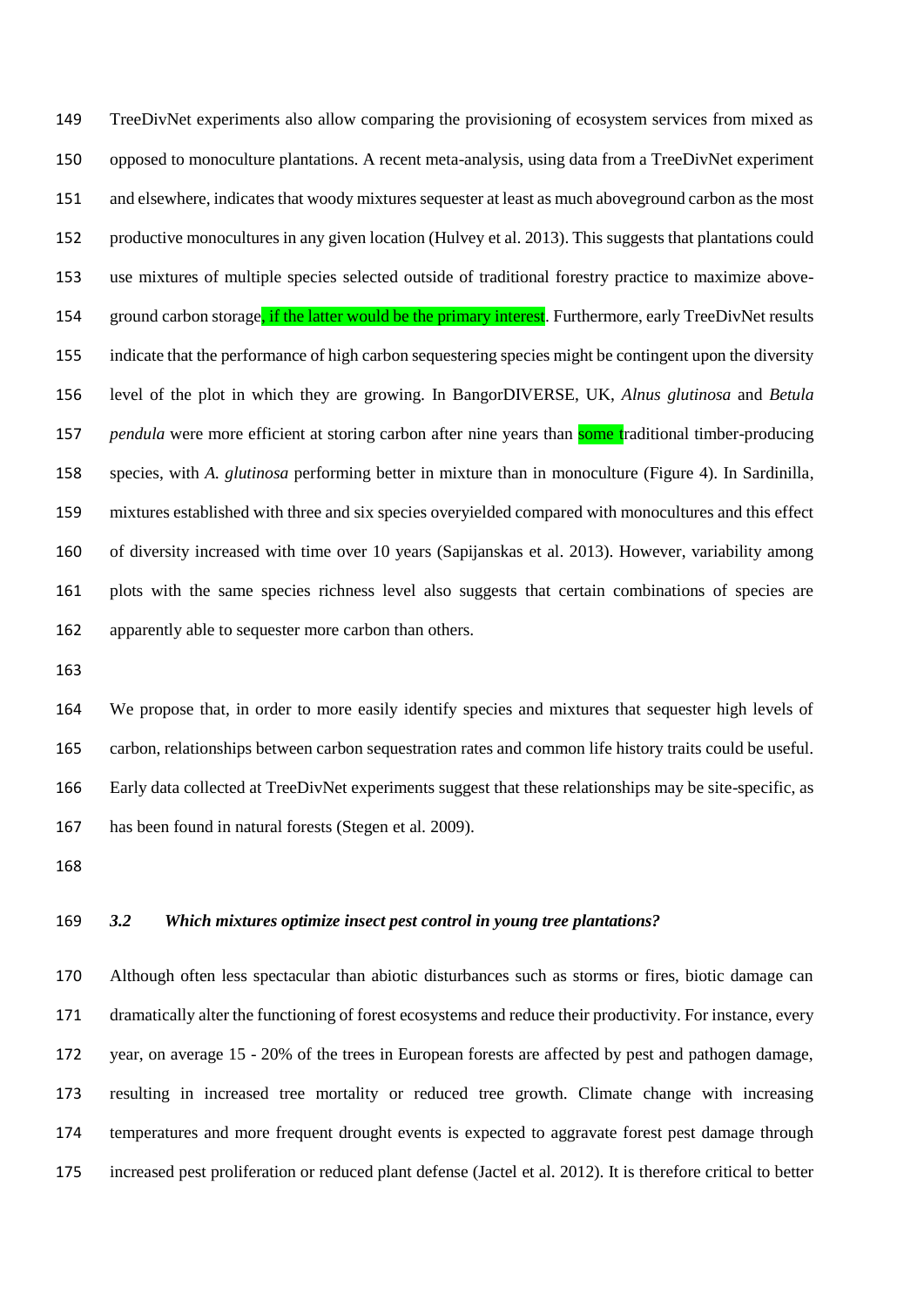TreeDivNet experiments also allow comparing the provisioning of ecosystem services from mixed as opposed to monoculture plantations. A recent meta-analysis, using data from a TreeDivNet experiment and elsewhere, indicates that woody mixtures sequester at least as much aboveground carbon as the most productive monocultures in any given location (Hulvey et al. 2013). This suggests that plantations could use mixtures of multiple species selected outside of traditional forestry practice to maximize above-154 ground carbon storage, if the latter would be the primary interest. Furthermore, early TreeDivNet results indicate that the performance of high carbon sequestering species might be contingent upon the diversity level of the plot in which they are growing. In BangorDIVERSE, UK, *Alnus glutinosa* and *Betula pendula* were more efficient at storing carbon after nine years than **some t**raditional timber-producing species, with *A. glutinosa* performing better in mixture than in monoculture (Figure 4). In Sardinilla, mixtures established with three and six species overyielded compared with monocultures and this effect of diversity increased with time over 10 years (Sapijanskas et al. 2013). However, variability among plots with the same species richness level also suggests that certain combinations of species are apparently able to sequester more carbon than others.

 We propose that, in order to more easily identify species and mixtures that sequester high levels of carbon, relationships between carbon sequestration rates and common life history traits could be useful. Early data collected at TreeDivNet experiments suggest that these relationships may be site-specific, as has been found in natural forests (Stegen et al*.* 2009).

#### *3.2 Which mixtures optimize insect pest control in young tree plantations?*

 Although often less spectacular than abiotic disturbances such as storms or fires, biotic damage can dramatically alter the functioning of forest ecosystems and reduce their productivity. For instance, every year, on average 15 - 20% of the trees in European forests are affected by pest and pathogen damage, resulting in increased tree mortality or reduced tree growth. Climate change with increasing temperatures and more frequent drought events is expected to aggravate forest pest damage through increased pest proliferation or reduced plant defense (Jactel et al. 2012). It is therefore critical to better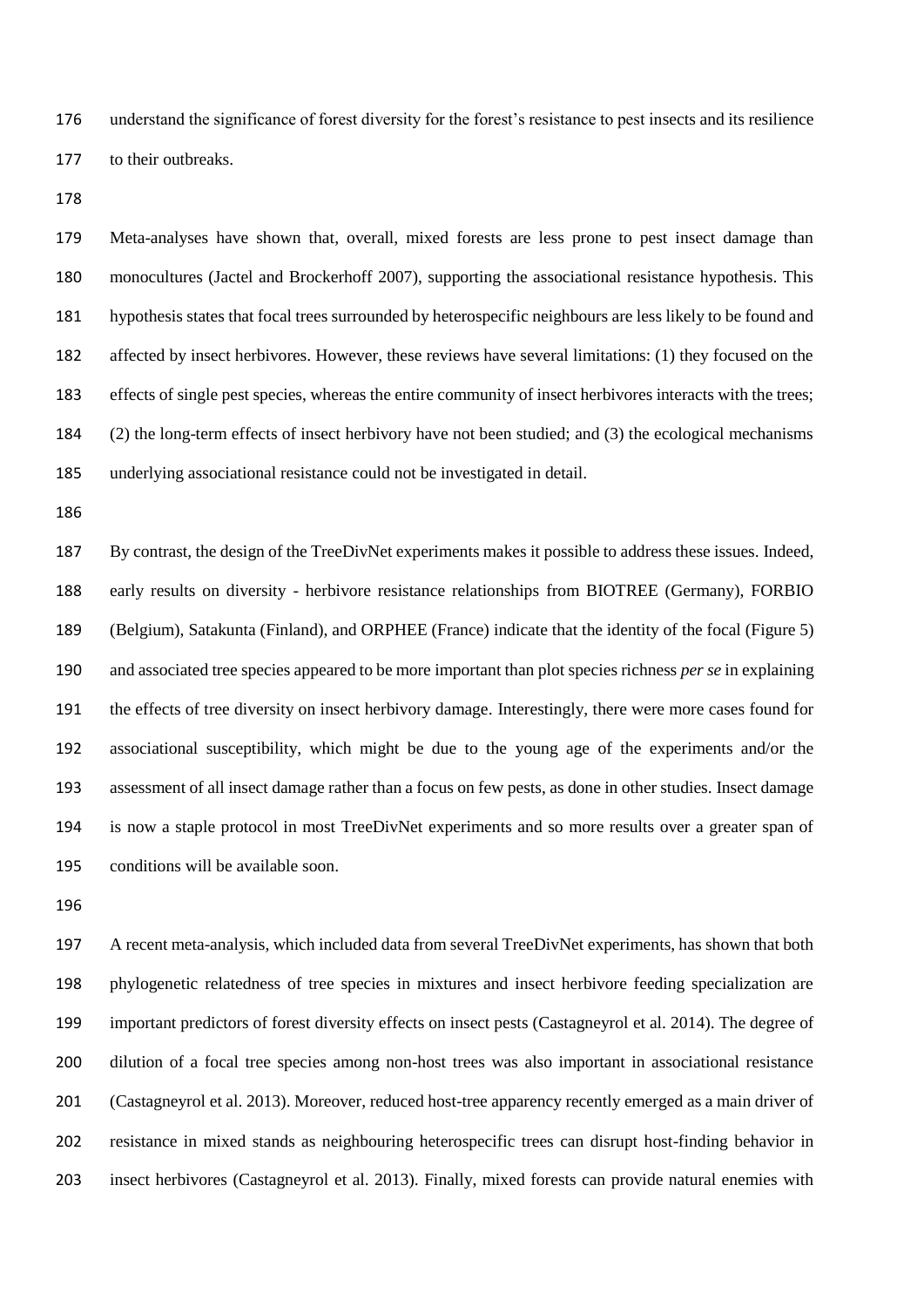understand the significance of forest diversity for the forest's resistance to pest insects and its resilience to their outbreaks.

 Meta-analyses have shown that, overall, mixed forests are less prone to pest insect damage than monocultures (Jactel and Brockerhoff 2007), supporting the associational resistance hypothesis. This hypothesis states that focal trees surrounded by heterospecific neighbours are less likely to be found and affected by insect herbivores. However, these reviews have several limitations: (1) they focused on the effects of single pest species, whereas the entire community of insect herbivores interacts with the trees; (2) the long-term effects of insect herbivory have not been studied; and (3) the ecological mechanisms underlying associational resistance could not be investigated in detail.

 By contrast, the design of the TreeDivNet experiments makes it possible to address these issues. Indeed, early results on diversity - herbivore resistance relationships from BIOTREE (Germany), FORBIO (Belgium), Satakunta (Finland), and ORPHEE (France) indicate that the identity of the focal (Figure 5) and associated tree species appeared to be more important than plot species richness *per se* in explaining the effects of tree diversity on insect herbivory damage. Interestingly, there were more cases found for associational susceptibility, which might be due to the young age of the experiments and/or the assessment of all insect damage rather than a focus on few pests, as done in other studies. Insect damage is now a staple protocol in most TreeDivNet experiments and so more results over a greater span of conditions will be available soon.

 A recent meta-analysis, which included data from several TreeDivNet experiments, has shown that both phylogenetic relatedness of tree species in mixtures and insect herbivore feeding specialization are important predictors of forest diversity effects on insect pests (Castagneyrol et al. 2014). The degree of dilution of a focal tree species among non-host trees was also important in associational resistance (Castagneyrol et al. 2013). Moreover, reduced host-tree apparency recently emerged as a main driver of resistance in mixed stands as neighbouring heterospecific trees can disrupt host-finding behavior in insect herbivores (Castagneyrol et al. 2013). Finally, mixed forests can provide natural enemies with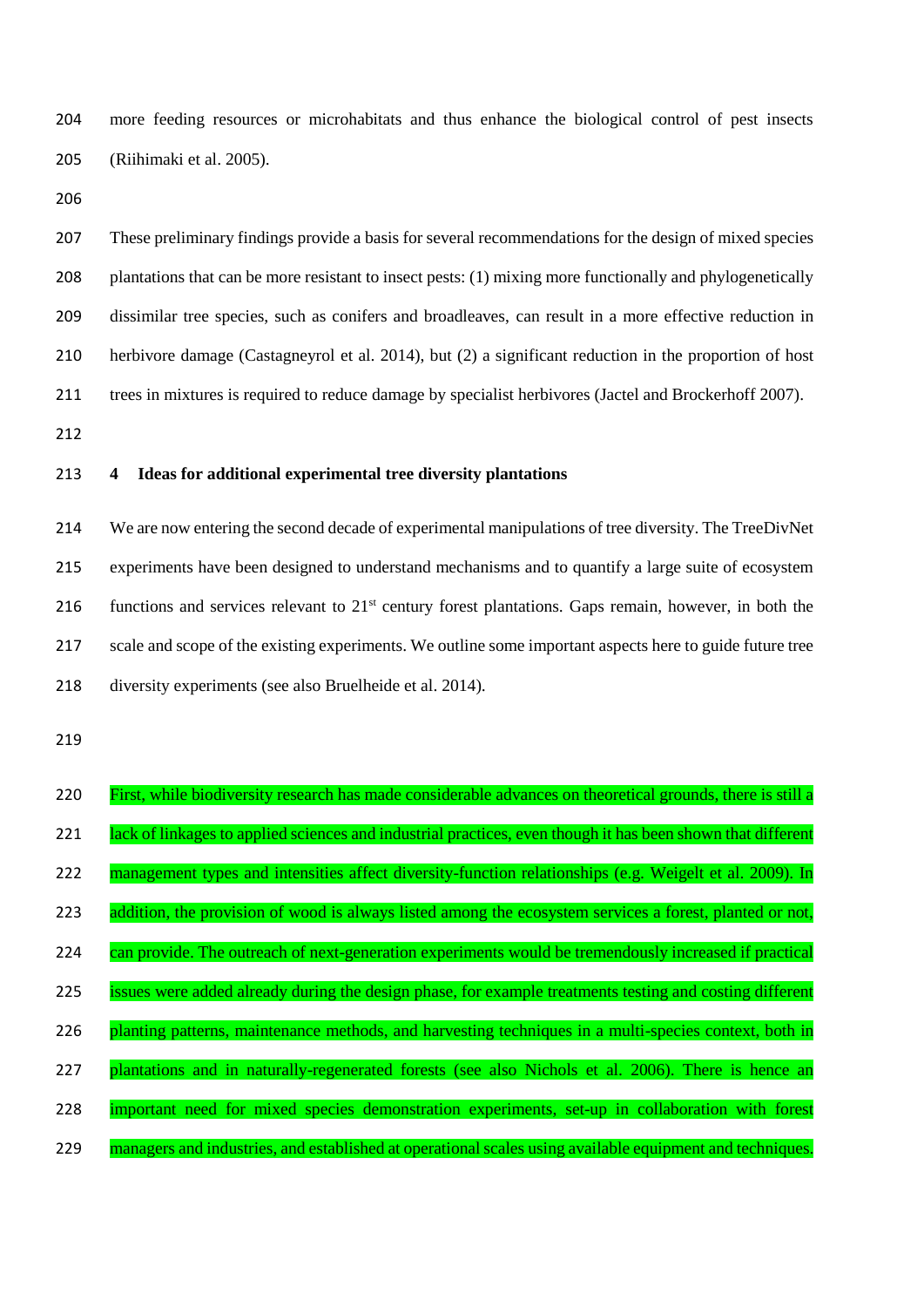more feeding resources or microhabitats and thus enhance the biological control of pest insects (Riihimaki et al. 2005).

 These preliminary findings provide a basis for several recommendations for the design of mixed species plantations that can be more resistant to insect pests: (1) mixing more functionally and phylogenetically dissimilar tree species, such as conifers and broadleaves, can result in a more effective reduction in herbivore damage (Castagneyrol et al. 2014), but (2) a significant reduction in the proportion of host trees in mixtures is required to reduce damage by specialist herbivores (Jactel and Brockerhoff 2007).

## **4 Ideas for additional experimental tree diversity plantations**

 We are now entering the second decade of experimental manipulations of tree diversity. The TreeDivNet experiments have been designed to understand mechanisms and to quantify a large suite of ecosystem 216 functions and services relevant to  $21<sup>st</sup>$  century forest plantations. Gaps remain, however, in both the 217 scale and scope of the existing experiments. We outline some important aspects here to guide future tree diversity experiments (see also Bruelheide et al. 2014).

| 220 | First, while biodiversity research has made considerable advances on theoretical grounds, there is still a  |
|-----|-------------------------------------------------------------------------------------------------------------|
| 221 | lack of linkages to applied sciences and industrial practices, even though it has been shown that different |
| 222 | management types and intensities affect diversity-function relationships (e.g. Weigelt et al. 2009). In     |
| 223 | addition, the provision of wood is always listed among the ecosystem services a forest, planted or not,     |
| 224 | can provide. The outreach of next-generation experiments would be tremendously increased if practical       |
| 225 | issues were added already during the design phase, for example treatments testing and costing different     |
| 226 | planting patterns, maintenance methods, and harvesting techniques in a multi-species context, both in       |
| 227 | plantations and in naturally-regenerated forests (see also Nichols et al. 2006). There is hence an          |
| 228 | important need for mixed species demonstration experiments, set-up in collaboration with forest             |
| 229 | managers and industries, and established at operational scales using available equipment and techniques.    |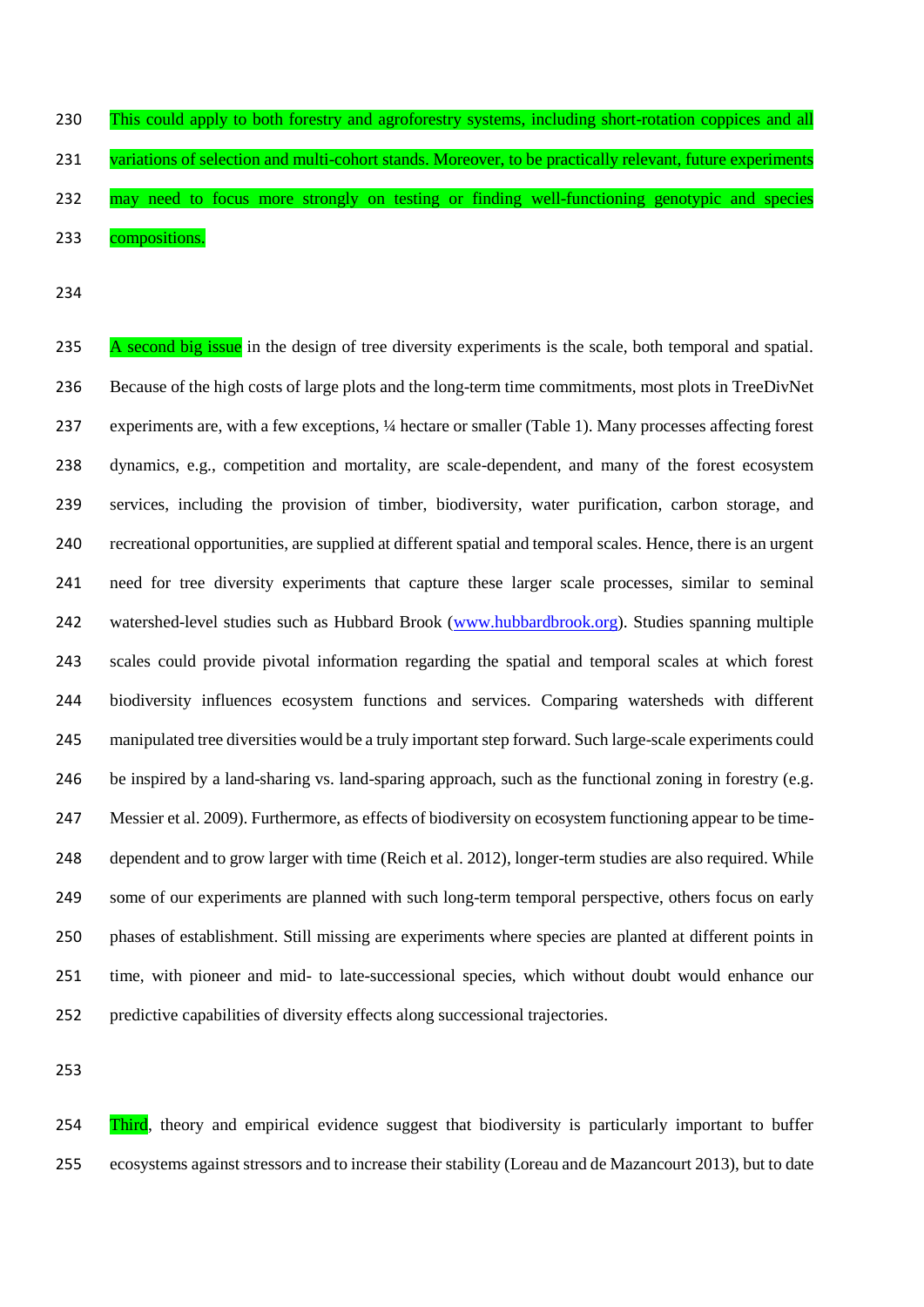This could apply to both forestry and agroforestry systems, including short-rotation coppices and all 231 variations of selection and multi-cohort stands. Moreover, to be practically relevant, future experiments 232 may need to focus more strongly on testing or finding well-functioning genotypic and species 233 compositions.

235 A second big issue in the design of tree diversity experiments is the scale, both temporal and spatial. Because of the high costs of large plots and the long-term time commitments, most plots in TreeDivNet experiments are, with a few exceptions, ¼ hectare or smaller (Table 1). Many processes affecting forest dynamics, e.g., competition and mortality, are scale-dependent, and many of the forest ecosystem services, including the provision of timber, biodiversity, water purification, carbon storage, and recreational opportunities, are supplied at different spatial and temporal scales. Hence, there is an urgent need for tree diversity experiments that capture these larger scale processes, similar to seminal watershed-level studies such as Hubbard Brook [\(www.hubbardbrook.org\)](http://www.hubbardbrook.org/). Studies spanning multiple scales could provide pivotal information regarding the spatial and temporal scales at which forest biodiversity influences ecosystem functions and services. Comparing watersheds with different manipulated tree diversities would be a truly important step forward. Such large-scale experiments could 246 be inspired by a land-sharing vs. land-sparing approach, such as the functional zoning in forestry (e.g. Messier et al. 2009). Furthermore, as effects of biodiversity on ecosystem functioning appear to be time- dependent and to grow larger with time (Reich et al. 2012), longer-term studies are also required. While some of our experiments are planned with such long-term temporal perspective, others focus on early phases of establishment. Still missing are experiments where species are planted at different points in time, with pioneer and mid- to late-successional species, which without doubt would enhance our predictive capabilities of diversity effects along successional trajectories.

254 Third, theory and empirical evidence suggest that biodiversity is particularly important to buffer ecosystems against stressors and to increase their stability (Loreau and de Mazancourt 2013), but to date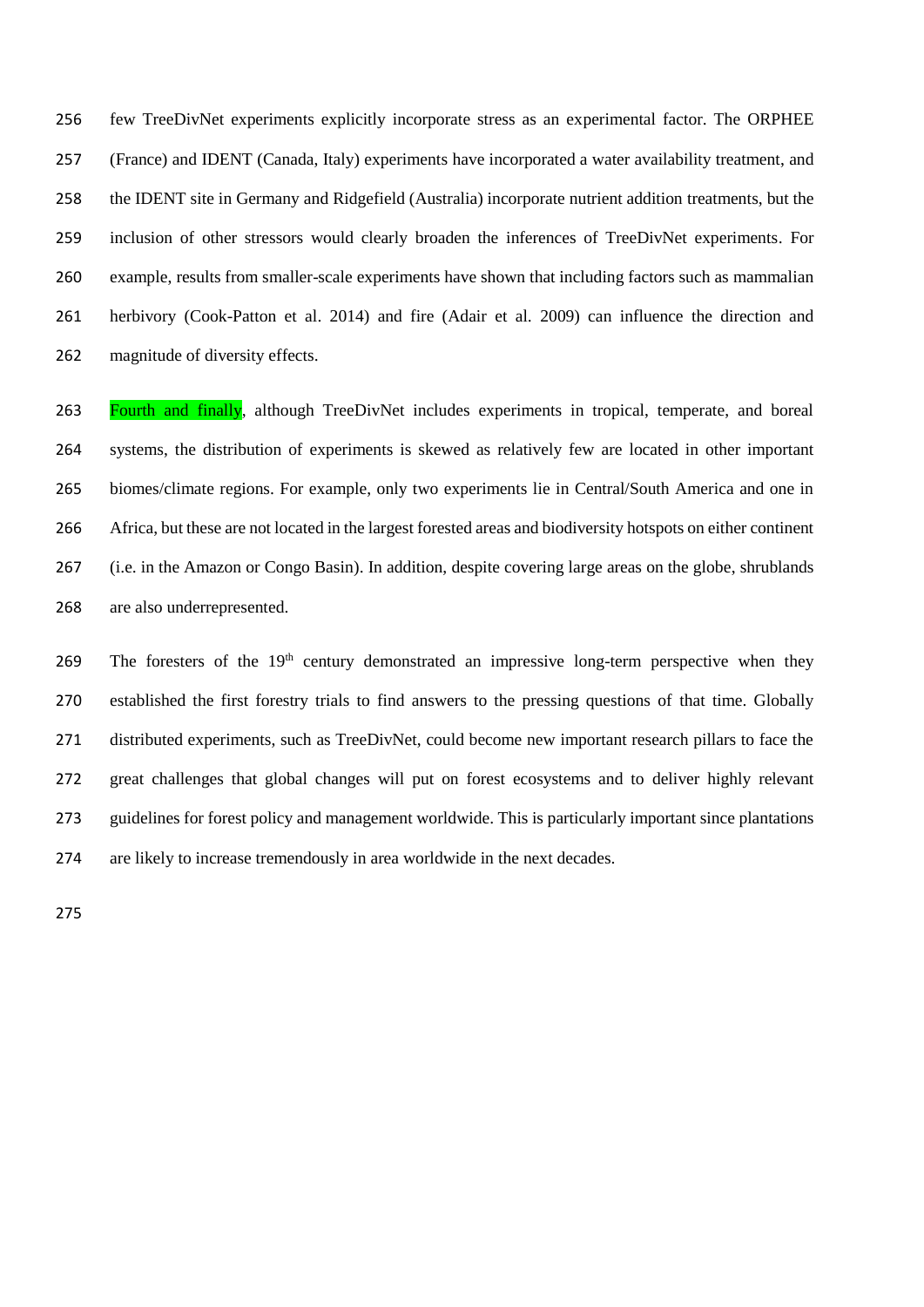few TreeDivNet experiments explicitly incorporate stress as an experimental factor. The ORPHEE (France) and IDENT (Canada, Italy) experiments have incorporated a water availability treatment, and the IDENT site in Germany and Ridgefield (Australia) incorporate nutrient addition treatments, but the inclusion of other stressors would clearly broaden the inferences of TreeDivNet experiments. For example, results from smaller-scale experiments have shown that including factors such as mammalian herbivory (Cook-Patton et al. 2014) and fire (Adair et al. 2009) can influence the direction and magnitude of diversity effects.

 Fourth and finally, although TreeDivNet includes experiments in tropical, temperate, and boreal systems, the distribution of experiments is skewed as relatively few are located in other important biomes/climate regions. For example, only two experiments lie in Central/South America and one in Africa, but these are not located in the largest forested areas and biodiversity hotspots on either continent (i.e. in the Amazon or Congo Basin). In addition, despite covering large areas on the globe, shrublands are also underrepresented.

269 The foresters of the  $19<sup>th</sup>$  century demonstrated an impressive long-term perspective when they established the first forestry trials to find answers to the pressing questions of that time. Globally distributed experiments, such as TreeDivNet, could become new important research pillars to face the great challenges that global changes will put on forest ecosystems and to deliver highly relevant guidelines for forest policy and management worldwide. This is particularly important since plantations are likely to increase tremendously in area worldwide in the next decades.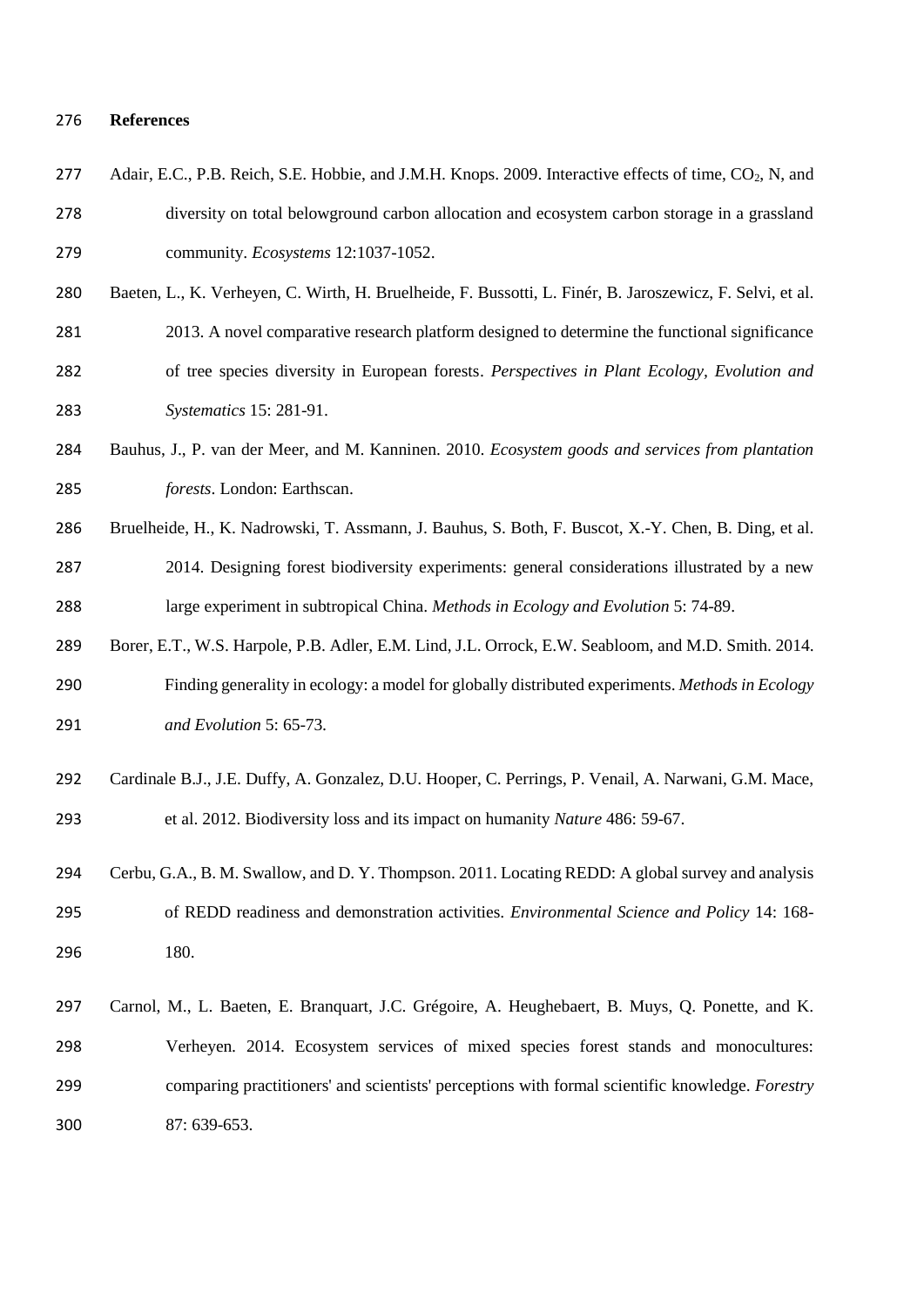#### **References**

| 277 | Adair, E.C., P.B. Reich, S.E. Hobbie, and J.M.H. Knops. 2009. Interactive effects of time, CO <sub>2</sub> , N, and |
|-----|---------------------------------------------------------------------------------------------------------------------|
| 278 | diversity on total belowground carbon allocation and ecosystem carbon storage in a grassland                        |
| 279 | community. <i>Ecosystems</i> 12:1037-1052.                                                                          |

Baeten, L., K. Verheyen, C. Wirth, H. Bruelheide, F. Bussotti, L. Finér, B. Jaroszewicz, F. Selvi, et al.

2013. A novel comparative research platform designed to determine the functional significance

- of tree species diversity in European forests. *Perspectives in Plant Ecology, Evolution and Systematics* 15: 281-91.
- Bauhus, J., P. van der Meer, and M. Kanninen. 2010. *Ecosystem goods and services from plantation forests*. London: Earthscan.
- Bruelheide, H., K. Nadrowski, T. Assmann, J. Bauhus, S. Both, F. Buscot, X.-Y. Chen, B. Ding, et al. 2014. Designing forest biodiversity experiments: general considerations illustrated by a new large experiment in subtropical China. *Methods in Ecology and Evolution* 5: 74-89.
- Borer, E.T., W.S. Harpole, P.B. Adler, E.M. Lind, J.L. Orrock, E.W. Seabloom, and M.D. Smith. 2014. Finding generality in ecology: a model for globally distributed experiments. *Methods in Ecology and Evolution* 5: 65-73*.*
- Cardinale B.J., J.E. Duffy, A. Gonzalez, D.U. Hooper, C. Perrings, P. Venail, A. Narwani, G.M. Mace, et al. 2012. Biodiversity loss and its impact on humanity *Nature* 486: 59-67.
- Cerbu, G.A., B. M. Swallow, and D. Y. Thompson. 2011. Locating REDD: A global survey and analysis of REDD readiness and demonstration activities. *Environmental Science and Policy* 14: 168- 180.
- Carnol, M., L. Baeten, E. Branquart, J.C. Grégoire, A. Heughebaert, B. Muys, Q. Ponette, and K. Verheyen*.* 2014. Ecosystem services of mixed species forest stands and monocultures: comparing practitioners' and scientists' perceptions with formal scientific knowledge. *Forestry* 87: 639-653.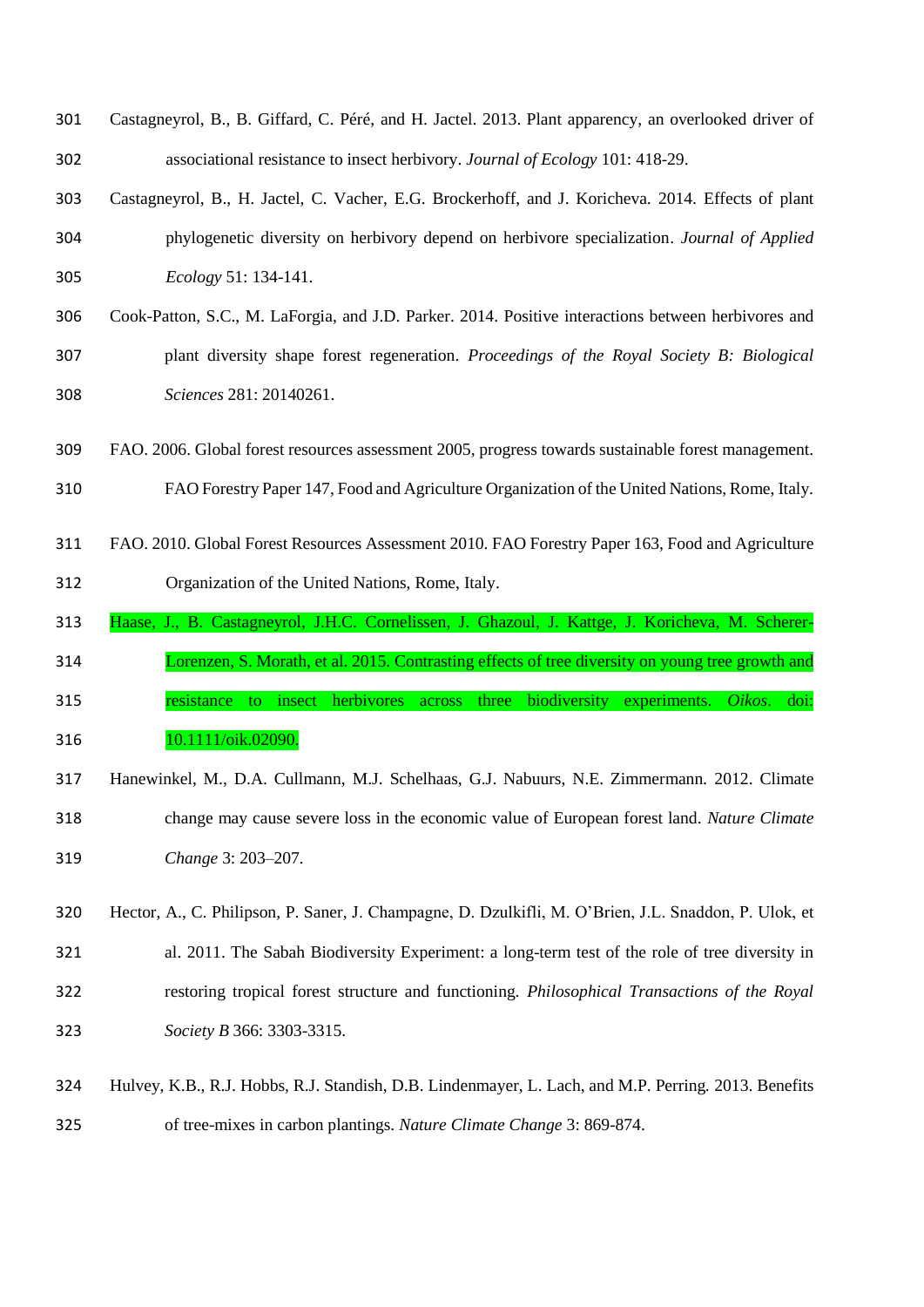| 301 | Castagneyrol, B., B. Giffard, C. Péré, and H. Jactel. 2013. Plant apparency, an overlooked driver of |
|-----|------------------------------------------------------------------------------------------------------|
| 302 | associational resistance to insect herbivory. Journal of Ecology 101: 418-29.                        |
| 303 | Castagneyrol, B., H. Jactel, C. Vacher, E.G. Brockerhoff, and J. Koricheva. 2014. Effects of plant   |

- phylogenetic diversity on herbivory depend on herbivore specialization. *Journal of Applied Ecology* 51: 134-141.
- Cook-Patton, S.C., M. LaForgia, and J.D. Parker. 2014. Positive interactions between herbivores and plant diversity shape forest regeneration. *Proceedings of the Royal Society B: Biological Sciences* 281: 20140261.
- FAO. 2006. Global forest resources assessment 2005, progress towards sustainable forest management.
- FAO Forestry Paper 147, Food and Agriculture Organization of the United Nations, Rome, Italy.
- FAO. 2010. Global Forest Resources Assessment 2010. FAO Forestry Paper 163, Food and Agriculture Organization of the United Nations, Rome, Italy.
- Haase, J., B. Castagneyrol, J.H.C. Cornelissen, J. Ghazoul, J. Kattge, J. Koricheva, M. Scherer-
- Lorenzen, S. Morath, et al. 2015. Contrasting effects of tree diversity on young tree growth and
- resistance to insect herbivores across three biodiversity experiments. *Oikos*. doi: 10.1111/oik.02090.
- Hanewinkel, M., D.A. Cullmann, M.J. Schelhaas, G.J. Nabuurs, N.E. Zimmermann*.* 2012. Climate change may cause severe loss in the economic value of European forest land. *Nature Climate Change* 3: 203–207*.*
- Hector, A., C. Philipson, P. Saner, J. Champagne, D. Dzulkifli, M. O'Brien, J.L. Snaddon, P. Ulok, et al. 2011. The Sabah Biodiversity Experiment: a long-term test of the role of tree diversity in restoring tropical forest structure and functioning. *Philosophical Transactions of the Royal Society B* 366: 3303-3315.
- Hulvey, K.B., R.J. Hobbs, R.J. Standish, D.B. Lindenmayer, L. Lach, and M.P. Perring*.* 2013. Benefits of tree-mixes in carbon plantings. *Nature Climate Change* 3: 869-874.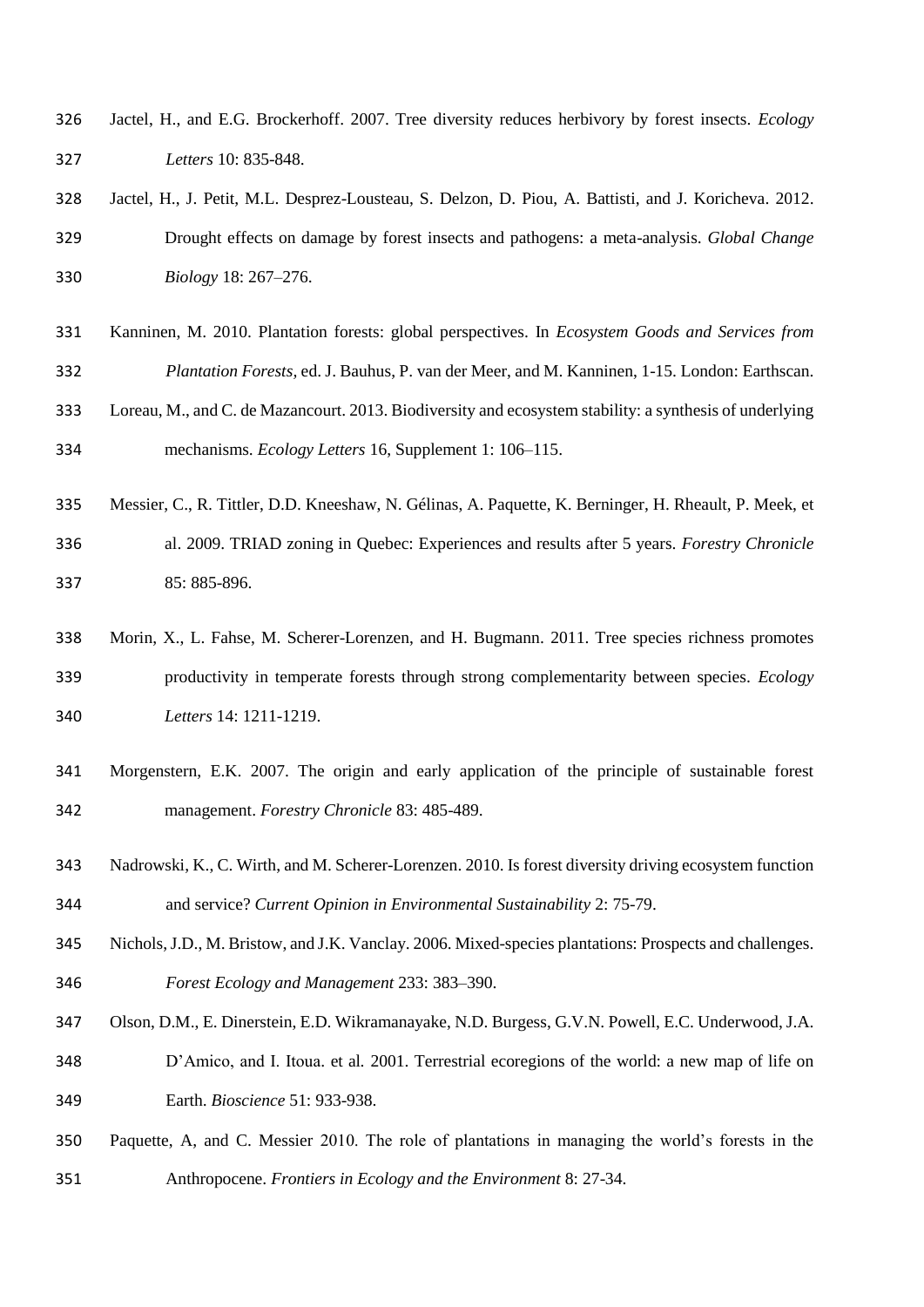- Jactel, H., and E.G. Brockerhoff. 2007. Tree diversity reduces herbivory by forest insects. *Ecology Letters* 10: 835-848.
- Jactel, H., J. Petit, M.L. Desprez-Lousteau, S. Delzon, D. Piou, A. Battisti, and J. Koricheva. 2012. Drought effects on damage by forest insects and pathogens: a meta-analysis. *Global Change Biology* 18: 267–276.
- <span id="page-17-0"></span> Kanninen, M. 2010. Plantation forests: global perspectives. In *Ecosystem Goods and Services from Plantation Forests,* ed. J. Bauhus, P. van der Meer, and M. Kanninen, 1-15. London: Earthscan.
- Loreau, M., and C. de Mazancourt. 2013. Biodiversity and ecosystem stability: a synthesis of underlying mechanisms. *Ecology Letters* 16, Supplement 1: 106–115.
- Messier, C., R. Tittler, D.D. Kneeshaw, N. Gélinas, A. Paquette, K. Berninger, H. Rheault, P. Meek, et al. 2009. TRIAD zoning in Quebec: Experiences and results after 5 years. *Forestry Chronicle* 85: 885-896.
- Morin, X., L. Fahse, M. Scherer-Lorenzen, and H. Bugmann. 2011. Tree species richness promotes productivity in temperate forests through strong complementarity between species. *Ecology Letters* 14: 1211-1219.
- Morgenstern, E.K. 2007. The origin and early application of the principle of sustainable forest management. *Forestry Chronicle* 83: 485-489.
- Nadrowski, K., C. Wirth, and M. Scherer-Lorenzen. 2010. Is forest diversity driving ecosystem function and service? *Current Opinion in Environmental Sustainability* 2: 75-79.
- Nichols,J.D., M. Bristow, and J.K. Vanclay. 2006. Mixed-species plantations: Prospects and challenges. *Forest Ecology and Management* 233: 383–390.
- Olson, D.M., E. Dinerstein, E.D. Wikramanayake, N.D. Burgess, G.V.N. Powell, E.C. Underwood, J.A. D'Amico, and I. Itoua. et al*.* 2001. Terrestrial ecoregions of the world: a new map of life on Earth. *Bioscience* 51: 933-938.
- <span id="page-17-1"></span> Paquette, A, and C. Messier 2010. The role of plantations in managing the world's forests in the Anthropocene. *Frontiers in Ecology and the Environment* 8: 27-34.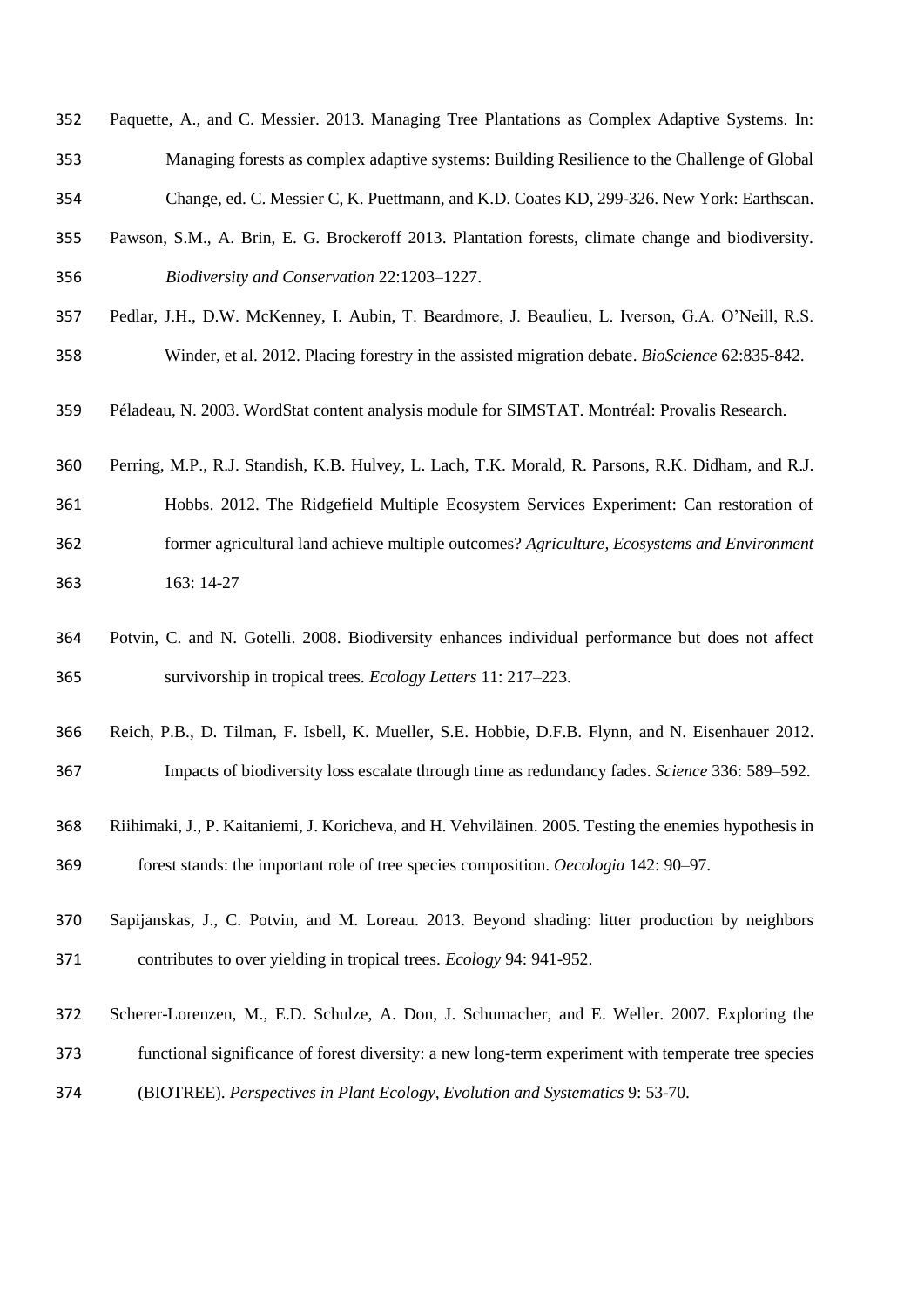- Paquette, A., and C. Messier. 2013. Managing Tree Plantations as Complex Adaptive Systems. In: Managing forests as complex adaptive systems: Building Resilience to the Challenge of Global
- Change, ed. C. Messier C, K. Puettmann, and K.D. Coates KD, 299-326. New York: Earthscan.
- <span id="page-18-0"></span> Pawson, S.M., A. Brin, E. G. Brockeroff 2013. Plantation forests, climate change and biodiversity. *Biodiversity and Conservation* 22:1203–1227.
- Pedlar, J.H., D.W. McKenney, I. Aubin, T. Beardmore, J. Beaulieu, L. Iverson, G.A. O'Neill, R.S. Winder, et al. 2012. Placing forestry in the assisted migration debate. *BioScience* 62:835-842.
- Péladeau, N. 2003. WordStat content analysis module for SIMSTAT. Montréal: Provalis Research.
- Perring, M.P., R.J. Standish, K.B. Hulvey, L. Lach, T.K. Morald, R. Parsons, R.K. Didham, and R.J. Hobbs. 2012. The Ridgefield Multiple Ecosystem Services Experiment: Can restoration of former agricultural land achieve multiple outcomes? *Agriculture, Ecosystems and Environment* 163: 14-27
- Potvin, C. and N. Gotelli. 2008. Biodiversity enhances individual performance but does not affect survivorship in tropical trees. *Ecology Letters* 11: 217–223.
- Reich, P.B., D. Tilman, F. Isbell, K. Mueller, S.E. Hobbie, D.F.B. Flynn, and N. Eisenhauer 2012. Impacts of biodiversity loss escalate through time as redundancy fades. *Science* 336: 589–592.
- Riihimaki, J., P. Kaitaniemi, J. Koricheva, and H. Vehviläinen. 2005. Testing the enemies hypothesis in forest stands: the important role of tree species composition. *Oecologia* 142: 90–97.
- Sapijanskas, J., C. Potvin, and M. Loreau. 2013. Beyond shading: litter production by neighbors contributes to over yielding in tropical trees. *Ecology* 94: 941-952.
- Scherer-Lorenzen, M., E.D. Schulze, A. Don, J. Schumacher, and E. Weller*.* 2007. Exploring the
- functional significance of forest diversity: a new long-term experiment with temperate tree species
- (BIOTREE). *Perspectives in Plant Ecology, Evolution and Systematics* 9: 53-70.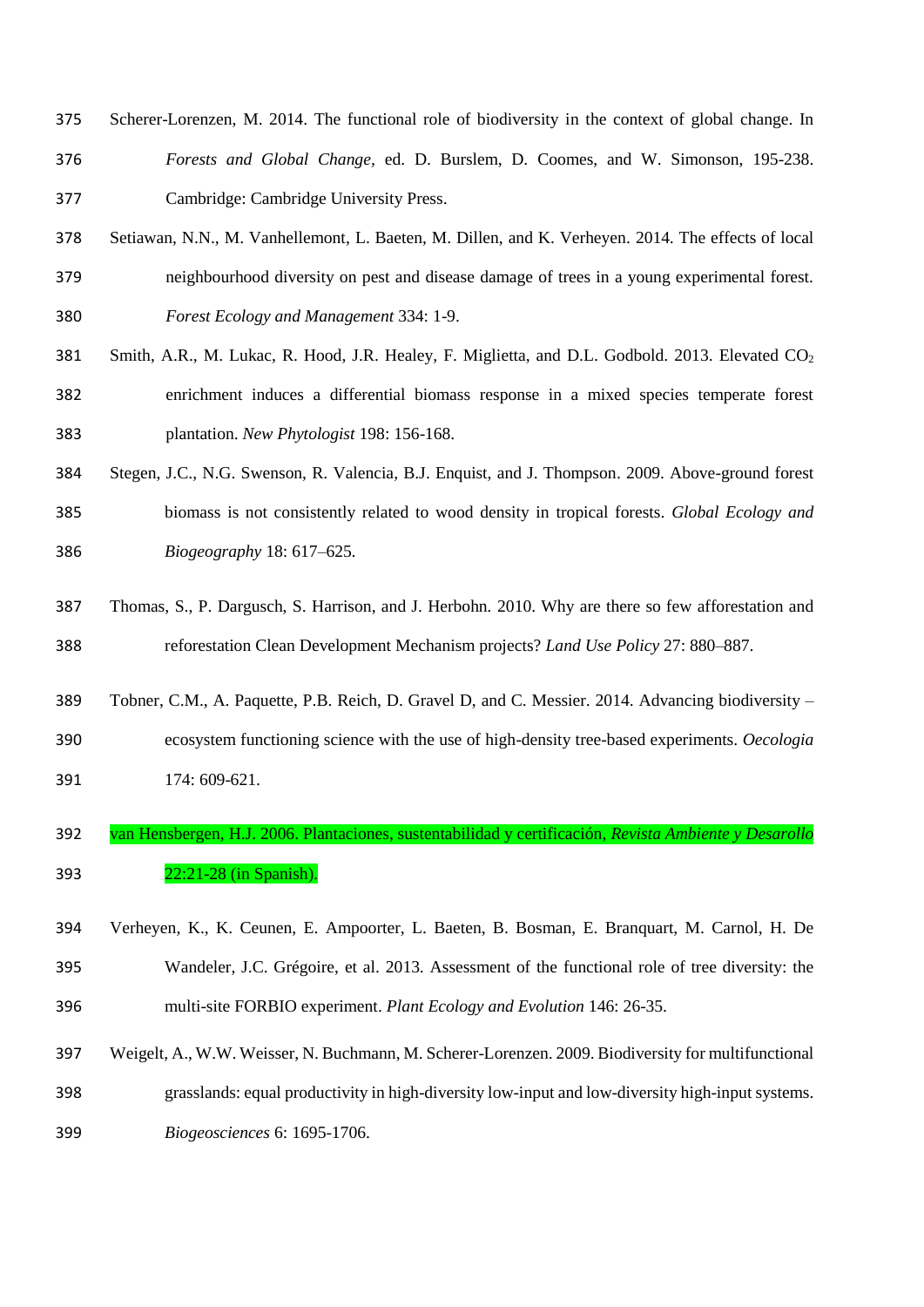- Scherer-Lorenzen, M. 2014. The functional role of biodiversity in the context of global change. In *Forests and Global Change,* ed. D. Burslem, D. Coomes, and W. Simonson, 195-238. Cambridge: Cambridge University Press.
- Setiawan, N.N., M. Vanhellemont, L. Baeten, M. Dillen, and K. Verheyen. 2014. The effects of local neighbourhood diversity on pest and disease damage of trees in a young experimental forest. *Forest Ecology and Management* 334: 1-9.
- 381 Smith, A.R., M. Lukac, R. Hood, J.R. Healey, F. Miglietta, and D.L. Godbold. 2013. Elevated CO<sub>2</sub> enrichment induces a differential biomass response in a mixed species temperate forest plantation. *New Phytologist* 198: 156-168.
- Stegen, J.C., N.G. Swenson, R. Valencia, B.J. Enquist, and J. Thompson. 2009. Above-ground forest biomass is not consistently related to wood density in tropical forests. *Global Ecology and Biogeography* 18: 617–625.
- Thomas, S., P. Dargusch, S. Harrison, and J. Herbohn*.* 2010. Why are there so few afforestation and reforestation Clean Development Mechanism projects? *Land Use Policy* 27: 880–887.
- Tobner, C.M., A. Paquette, P.B. Reich, D. Gravel D, and C. Messier. 2014. Advancing biodiversity –
- ecosystem functioning science with the use of high-density tree-based experiments. *Oecologia* 174: 609-621.
- van Hensbergen, H.J. 2006. Plantaciones, sustentabilidad y certificación, *Revista Ambiente y Desarollo* 22:21-28 (in Spanish).
- Verheyen, K., K. Ceunen, E. Ampoorter, L. Baeten, B. Bosman, E. Branquart, M. Carnol, H. De Wandeler, J.C. Grégoire, et al. 2013. Assessment of the functional role of tree diversity: the multi-site FORBIO experiment. *Plant Ecology and Evolution* 146: 26-35.
- Weigelt, A., W.W. Weisser, N. Buchmann, M. Scherer-Lorenzen. 2009. Biodiversity for multifunctional grasslands: equal productivity in high-diversity low-input and low-diversity high-input systems.
- *Biogeosciences* 6: 1695-1706.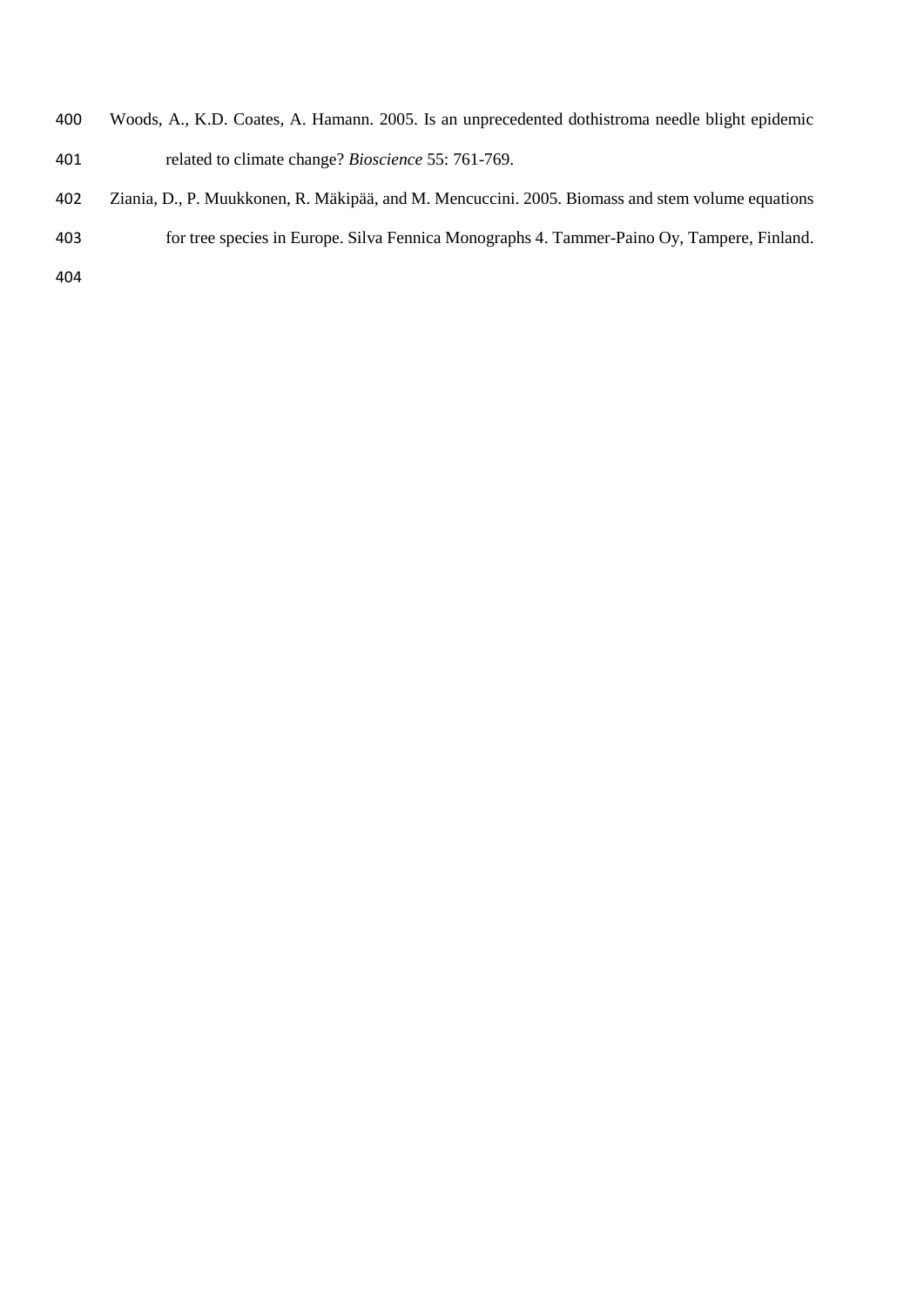- Woods, A., K.D. Coates, A. Hamann. 2005. Is an unprecedented dothistroma needle blight epidemic related to climate change? *Bioscience* 55: 761-769.
- Ziania, D., P. Muukkonen, R. Mäkipää, and M. Mencuccini. 2005. Biomass and stem volume equations for tree species in Europe. Silva Fennica Monographs 4. Tammer-Paino Oy, Tampere, Finland.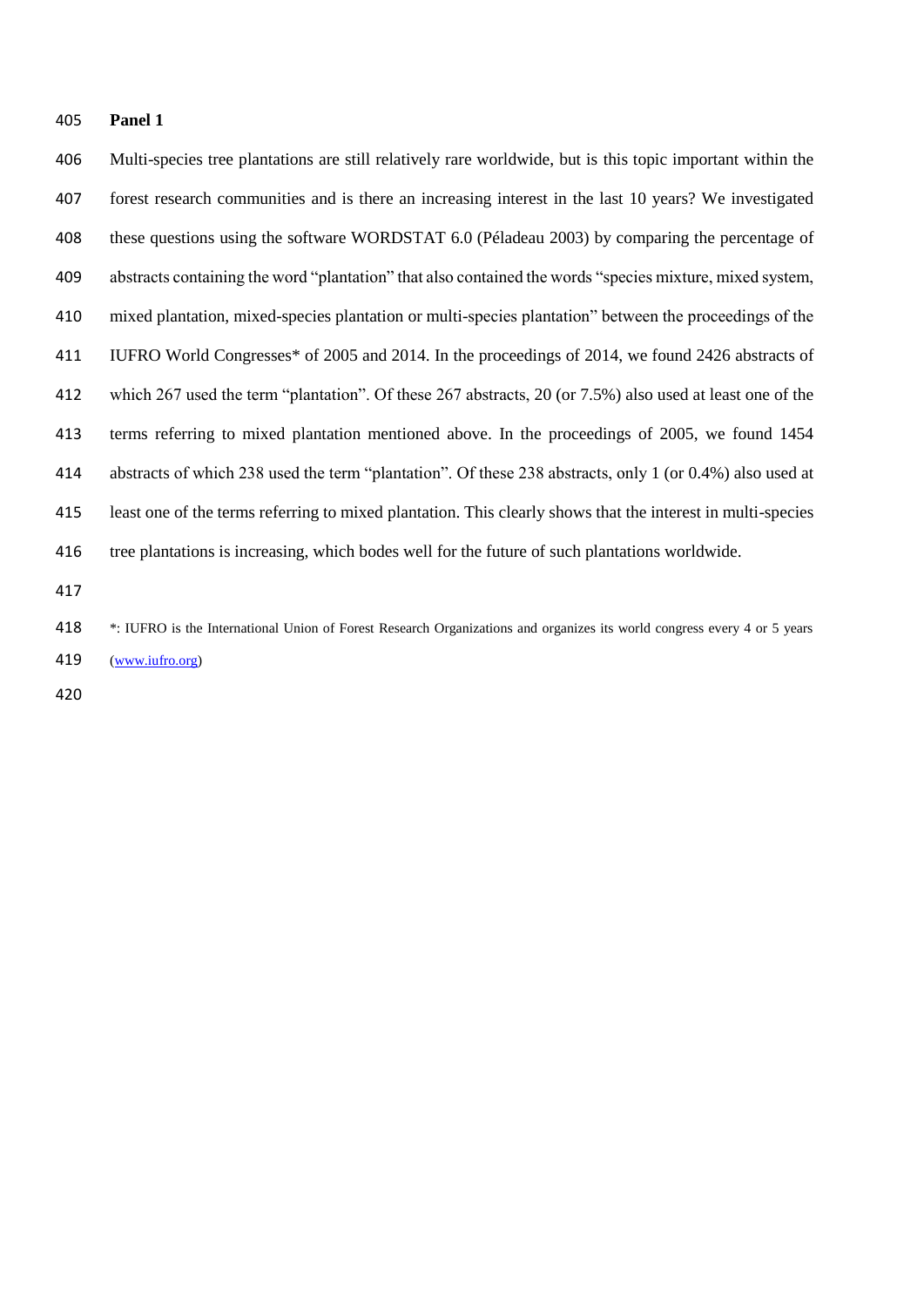#### **Panel 1**

 Multi-species tree plantations are still relatively rare worldwide, but is this topic important within the forest research communities and is there an increasing interest in the last 10 years? We investigated these questions using the software WORDSTAT 6.0 (Péladeau 2003) by comparing the percentage of abstracts containing the word "plantation" that also contained the words "species mixture, mixed system, mixed plantation, mixed-species plantation or multi-species plantation" between the proceedings of the IUFRO World Congresses\* of 2005 and 2014. In the proceedings of 2014, we found 2426 abstracts of which 267 used the term "plantation". Of these 267 abstracts, 20 (or 7.5%) also used at least one of the terms referring to mixed plantation mentioned above. In the proceedings of 2005, we found 1454 abstracts of which 238 used the term "plantation". Of these 238 abstracts, only 1 (or 0.4%) also used at least one of the terms referring to mixed plantation. This clearly shows that the interest in multi-species tree plantations is increasing, which bodes well for the future of such plantations worldwide.

 \*: IUFRO is the International Union of Forest Research Organizations and organizes its world congress every 4 or 5 years [\(www.iufro.org\)](http://www.iufro.org/)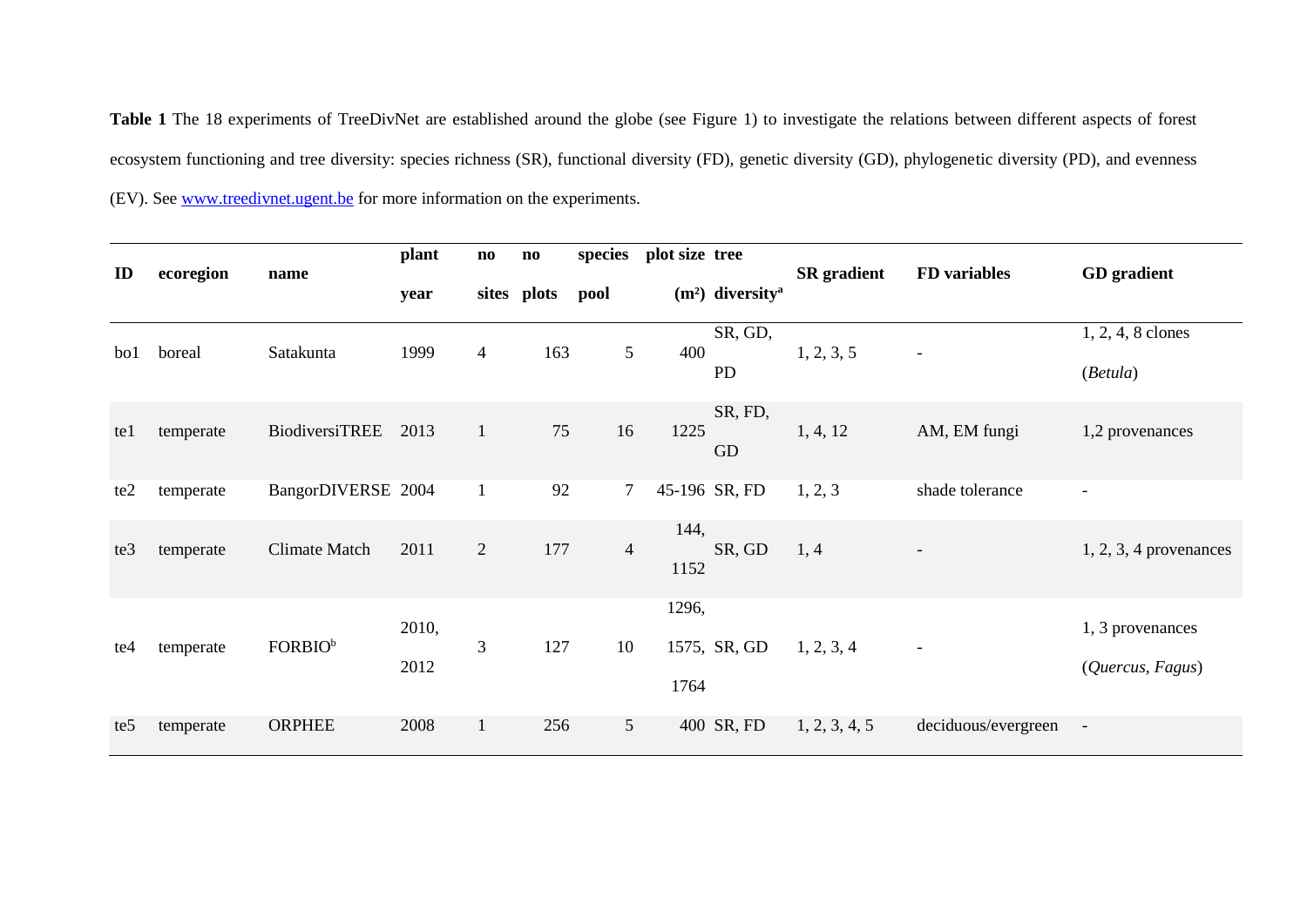**Table 1** The 18 experiments of TreeDivNet are established around the globe (see Figure 1) to investigate the relations between different aspects of forest ecosystem functioning and tree diversity: species richness (SR), functional diversity (FD), genetic diversity (GD), phylogenetic diversity (PD), and evenness (EV). See [www.treedivnet.ugent.be](http://www.treedivnet.ugent.be/) for more information on the experiments.

|                 | ecoregion | name                 | plant         | $\mathbf{n}\mathbf{o}$ | $\mathbf{n}\mathbf{o}$ | species        | plot size tree |                               |                    | FD variables             |                                      |
|-----------------|-----------|----------------------|---------------|------------------------|------------------------|----------------|----------------|-------------------------------|--------------------|--------------------------|--------------------------------------|
| ID              |           |                      | year          |                        | sites plots            | pool           |                | $(m2)$ diversity <sup>a</sup> | <b>SR</b> gradient |                          | <b>GD</b> gradient                   |
| bo1             | boreal    | Satakunta            | 1999          | $\overline{4}$         | 163                    | 5              | 400            | SR, GD,<br><b>PD</b>          | 1, 2, 3, 5         | $\overline{\phantom{a}}$ | 1, 2, 4, 8 clones<br>(Betula)        |
| te1             | temperate | BiodiversiTREE       | 2013          | $\mathbf{1}$           | 75                     | 16             | 1225           | SR, FD,<br>GD                 | 1, 4, 12           | AM, EM fungi             | 1,2 provenances                      |
| te <sub>2</sub> | temperate | BangorDIVERSE 2004   |               | $\mathbf{1}$           | 92                     | $\tau$         |                | 45-196 SR, FD                 | 1, 2, 3            | shade tolerance          |                                      |
| te3             | temperate | <b>Climate Match</b> | 2011          | $\overline{2}$         | 177                    | $\overline{4}$ | 144,<br>1152   | SR, GD                        | 1, 4               | $\overline{\phantom{a}}$ | $1, 2, 3, 4$ provenances             |
| te <sub>4</sub> | temperate | FORBIO <sup>b</sup>  | 2010,<br>2012 | 3                      | 127                    | 10             | 1296,<br>1764  | 1575, SR, GD                  | 1, 2, 3, 4         | $\overline{a}$           | 1, 3 provenances<br>(Quercus, Fagus) |
| te <sub>5</sub> | temperate | <b>ORPHEE</b>        | 2008          | 1                      | 256                    | 5 <sup>5</sup> |                | 400 SR, FD                    | 1, 2, 3, 4, 5      | deciduous/evergreen      | $\overline{\phantom{a}}$             |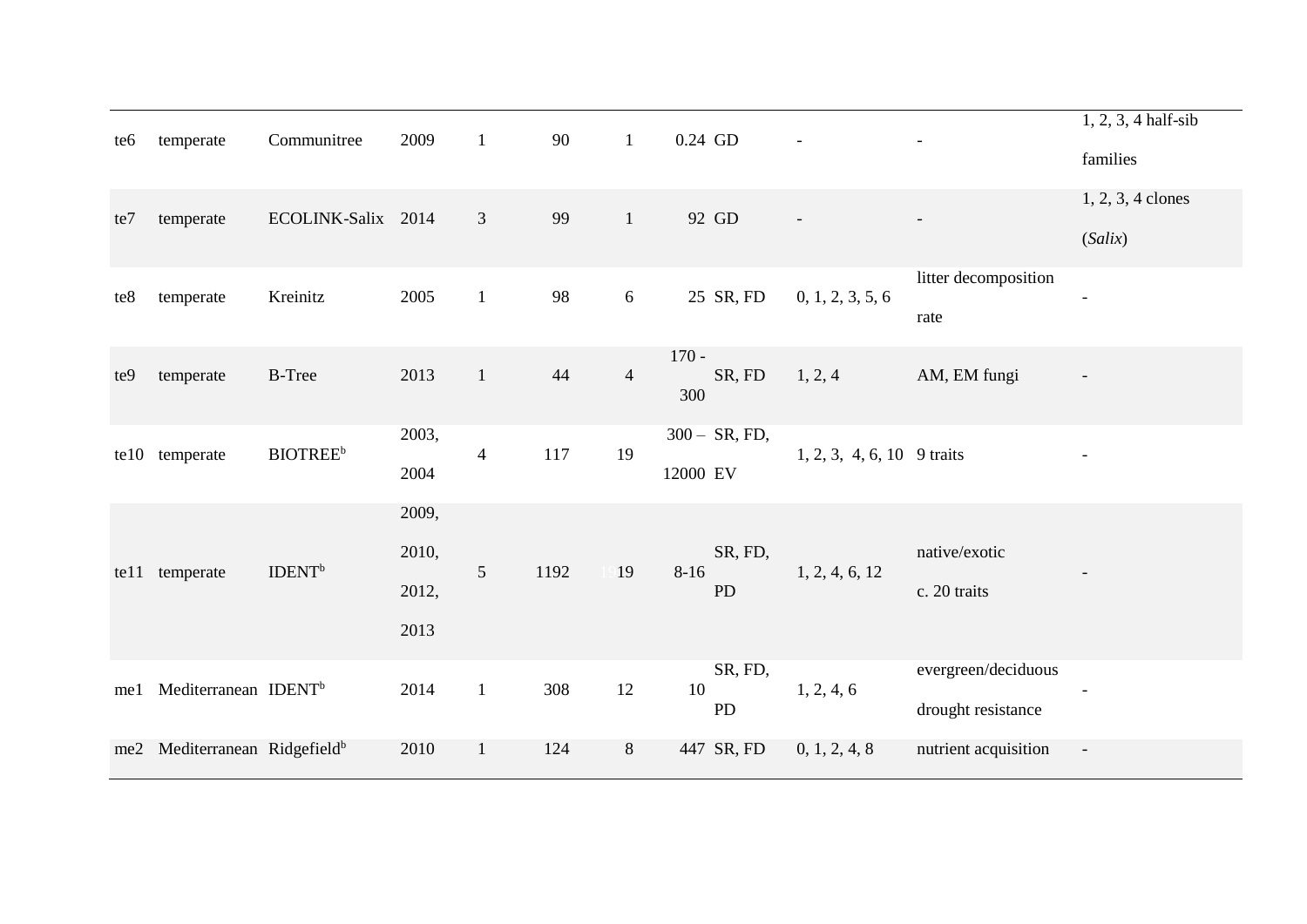| te6             | temperate                             | Communitree                 | 2009  | $\mathbf{1}$   | 90   | $\mathbf{1}$   | $0.24\,$ GD         |                            |                      | $1, 2, 3, 4$ half-sib    |
|-----------------|---------------------------------------|-----------------------------|-------|----------------|------|----------------|---------------------|----------------------------|----------------------|--------------------------|
|                 |                                       |                             |       |                |      |                |                     |                            |                      | families                 |
| te7             | temperate                             | ECOLINK-Salix 2014          |       | 3              | 99   | $1\,$          | 92 GD               |                            |                      | 1, 2, 3, 4 clones        |
|                 |                                       |                             |       |                |      |                |                     |                            |                      | (Salix)                  |
| te8             | temperate                             | Kreinitz                    | 2005  | $\mathbf{1}$   | 98   | $6\,$          | 25 SR, FD           | 0, 1, 2, 3, 5, 6           | litter decomposition | $\overline{a}$           |
|                 |                                       |                             |       |                |      |                |                     |                            | rate                 |                          |
| te9             | temperate                             | <b>B-Tree</b>               | 2013  | $\mathbf{1}$   | 44   | $\overline{4}$ | $170 -$<br>SR, FD   | 1, 2, 4                    | AM, EM fungi         | $\overline{a}$           |
|                 |                                       |                             |       |                |      |                | 300                 |                            |                      |                          |
| te10            | temperate                             | <b>BIOTREE</b> <sup>b</sup> | 2003, | $\overline{4}$ | 117  | 19             | $300 - SR$ , FD,    | 1, 2, 3, 4, 6, 10 9 traits |                      |                          |
|                 |                                       |                             | 2004  |                |      |                | 12000 EV            |                            |                      |                          |
|                 |                                       |                             | 2009, |                |      |                |                     |                            |                      |                          |
| te11            | temperate                             | <b>IDENT</b> <sup>b</sup>   | 2010, | 5              | 1192 | 19             | SR, FD,<br>$8 - 16$ | 1, 2, 4, 6, 12             | native/exotic        |                          |
|                 |                                       |                             | 2012, |                |      |                | <b>PD</b>           |                            | c. 20 traits         |                          |
|                 |                                       |                             | 2013  |                |      |                |                     |                            |                      |                          |
| me1             | Mediterranean IDENT <sup>b</sup>      |                             | 2014  | $\mathbf{1}$   | 308  | 12             | SR, FD,<br>10       | 1, 2, 4, 6                 | evergreen/deciduous  |                          |
|                 |                                       |                             |       |                |      |                | PD                  |                            | drought resistance   |                          |
| me <sub>2</sub> | Mediterranean Ridgefield <sup>b</sup> |                             | 2010  | $\mathbf{1}$   | 124  | 8              | 447 SR, FD          | 0, 1, 2, 4, 8              | nutrient acquisition | $\overline{\phantom{a}}$ |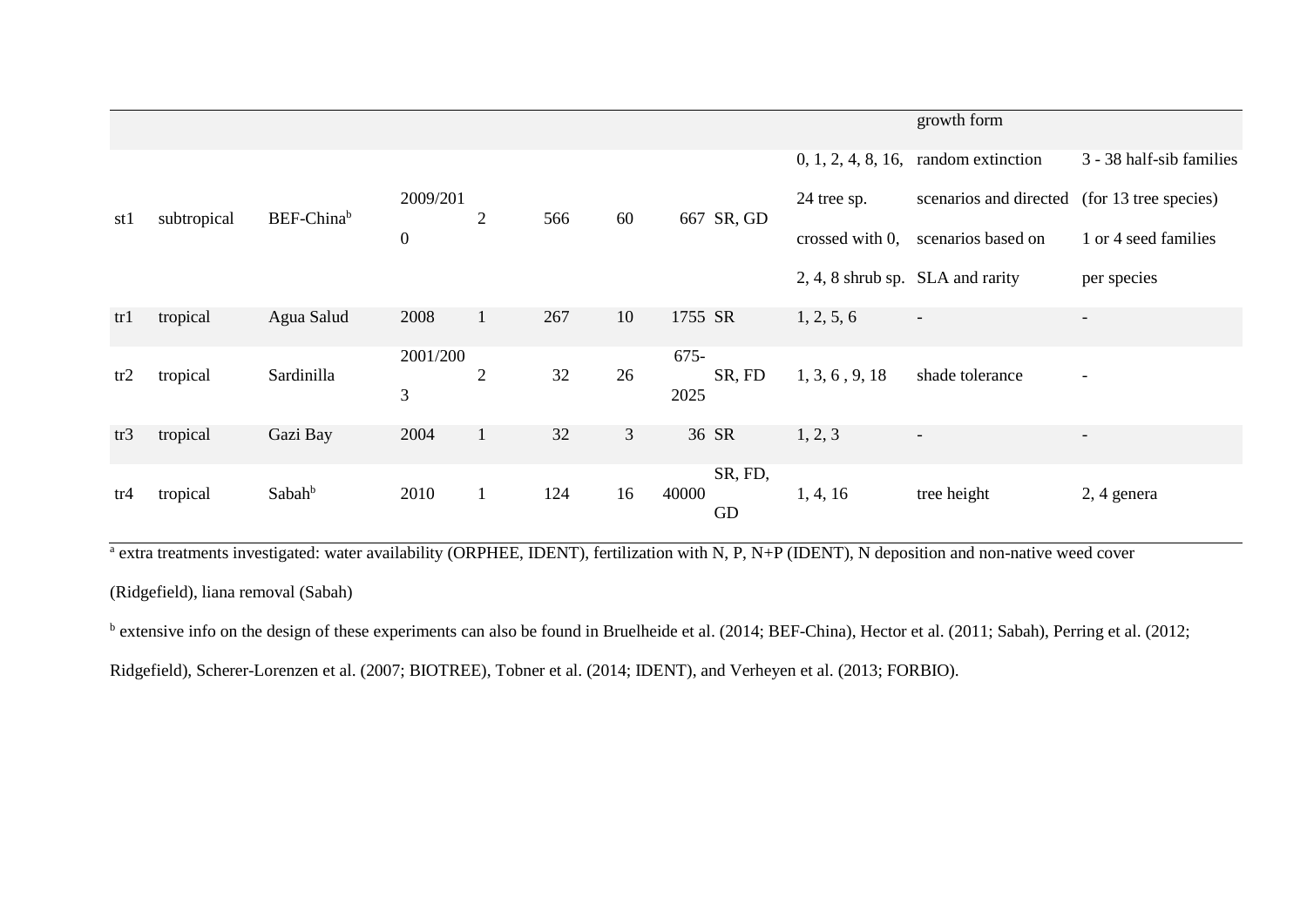|     |             |                    |                  |                |     |                |                        |                                  | growth form                                  |                          |
|-----|-------------|--------------------|------------------|----------------|-----|----------------|------------------------|----------------------------------|----------------------------------------------|--------------------------|
|     |             |                    |                  |                |     |                |                        |                                  | $0, 1, 2, 4, 8, 16,$ random extinction       | 3 - 38 half-sib families |
| st1 | subtropical | BEF-Chinab         | 2009/201         | $\overline{2}$ | 566 | 60             | 667 SR, GD             | 24 tree sp.                      | scenarios and directed (for 13 tree species) |                          |
|     |             |                    | $\boldsymbol{0}$ |                |     |                |                        | crossed with 0,                  | scenarios based on                           | 1 or 4 seed families     |
|     |             |                    |                  |                |     |                |                        | 2, 4, 8 shrub sp. SLA and rarity |                                              | per species              |
| tr1 | tropical    | Agua Salud         | 2008             | $\mathbf{1}$   | 267 | 10             | 1755 SR                | 1, 2, 5, 6                       | $\overline{\phantom{a}}$                     | $\overline{\phantom{a}}$ |
| tr2 | tropical    | Sardinilla         | 2001/200         | $\overline{2}$ | 32  | 26             | $675-$<br>SR, FD       | 1, 3, 6, 9, 18                   | shade tolerance                              | $\overline{\phantom{a}}$ |
|     |             |                    | 3                |                |     |                | 2025                   |                                  |                                              |                          |
| tr3 | tropical    | Gazi Bay           | 2004             | $\mathbf{1}$   | 32  | $\mathfrak{Z}$ | 36 SR                  | 1, 2, 3                          |                                              | $\overline{\phantom{a}}$ |
| tr4 | tropical    | Sabah <sup>b</sup> | 2010             | $\mathbf{1}$   | 124 | 16             | SR, FD,<br>40000<br>GD | 1, 4, 16                         | tree height                                  | 2, 4 genera              |

<sup>a</sup> extra treatments investigated: water availability (ORPHEE, IDENT), fertilization with N, P, N+P (IDENT), N deposition and non-native weed cover

(Ridgefield), liana removal (Sabah)

<sup>b</sup> extensive info on the design of these experiments can also be found in Bruelheide et al. (2014; BEF-China), Hector et al. (2011; Sabah), Perring et al. (2012;

Ridgefield), Scherer-Lorenzen et al. (2007; BIOTREE), Tobner et al. (2014; IDENT), and Verheyen et al. (2013; FORBIO).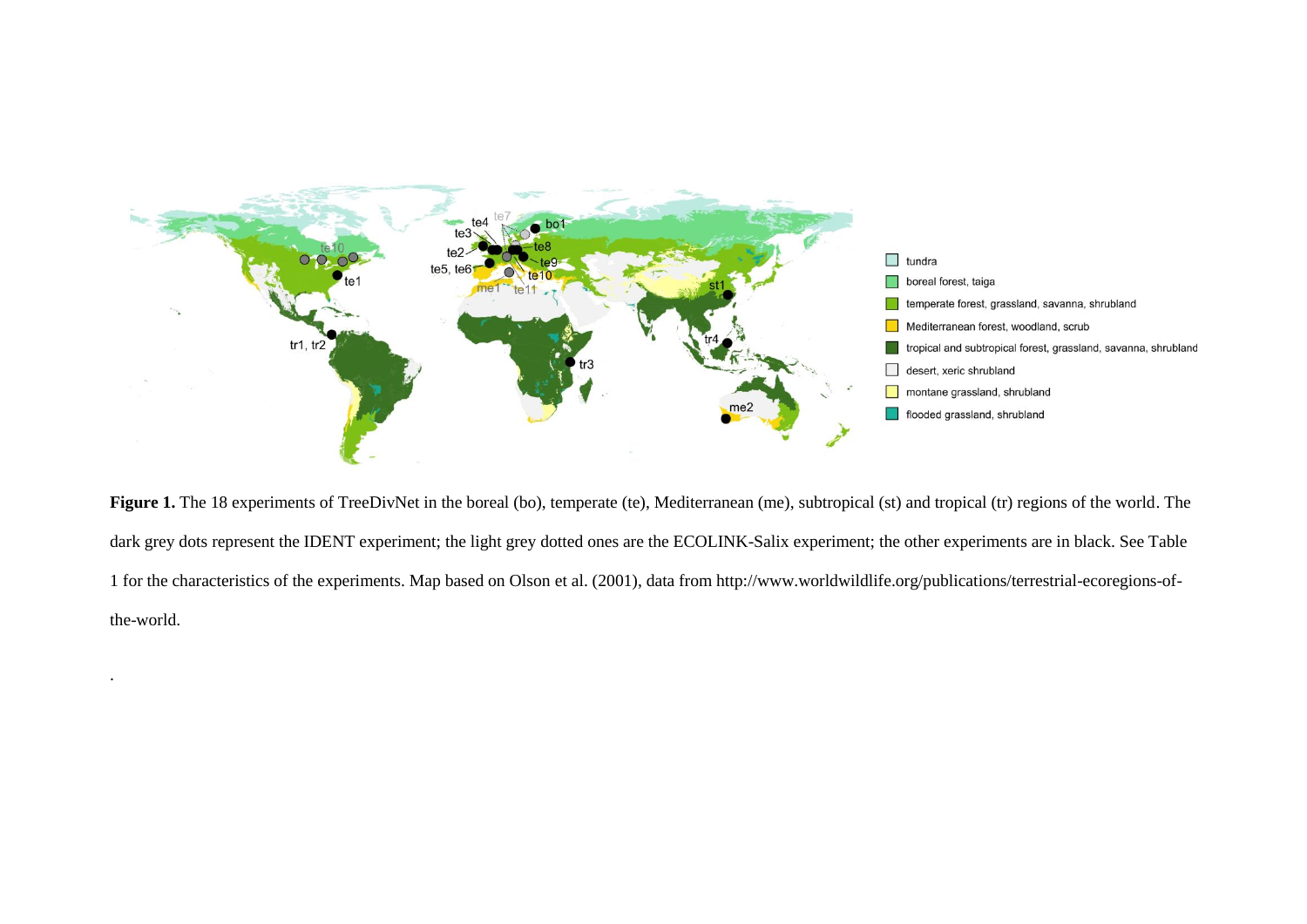

Figure 1. The 18 experiments of TreeDivNet in the boreal (bo), temperate (te), Mediterranean (me), subtropical (st) and tropical (tr) regions of the world. The dark grey dots represent the IDENT experiment; the light grey dotted ones are the ECOLINK-Salix experiment; the other experiments are in black. See Table 1 for the characteristics of the experiments. Map based on Olson et al. (2001), data from http://www.worldwildlife.org/publications/terrestrial-ecoregions-ofthe-world.

.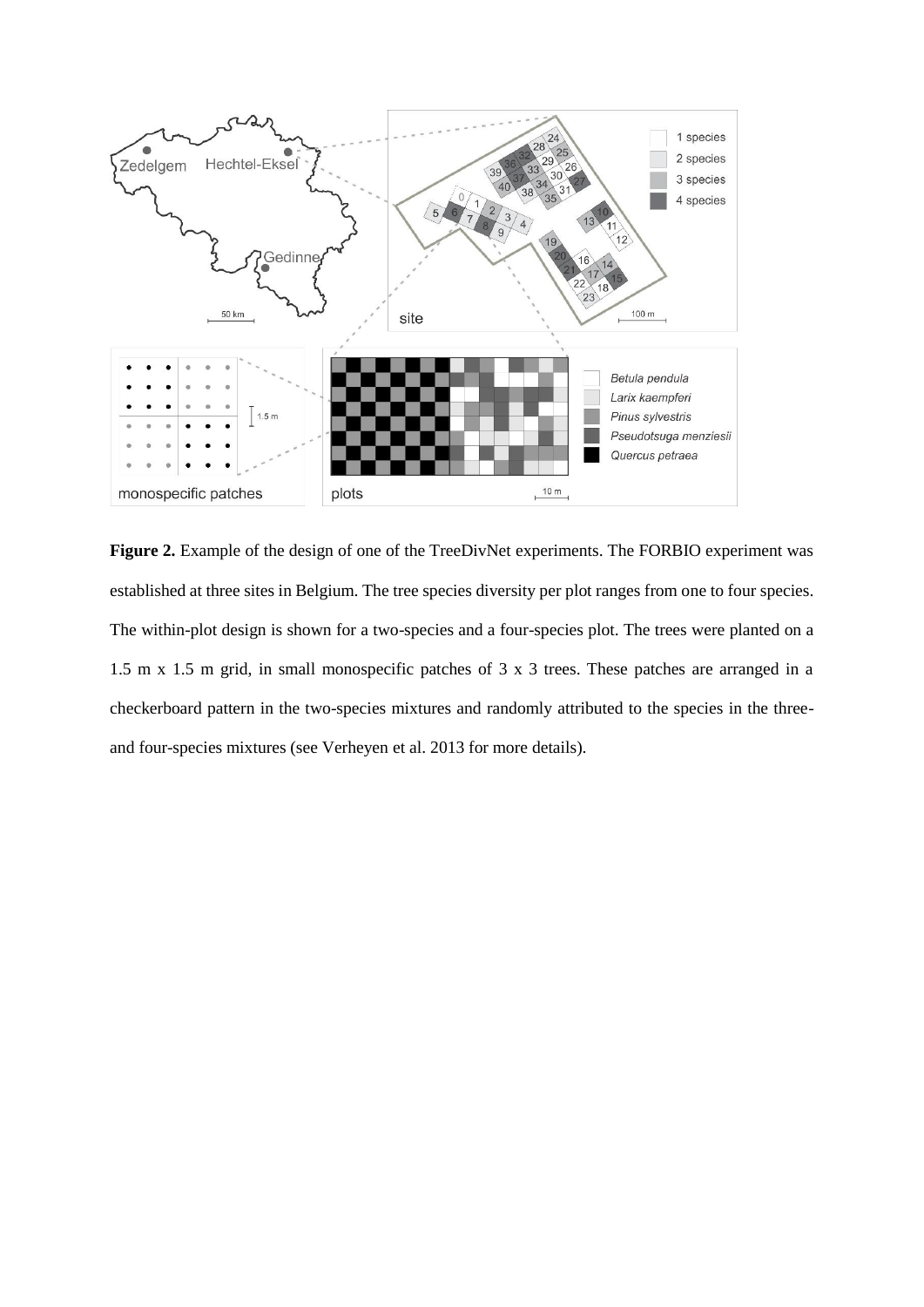

**Figure 2.** Example of the design of one of the TreeDivNet experiments. The FORBIO experiment was established at three sites in Belgium. The tree species diversity per plot ranges from one to four species. The within-plot design is shown for a two-species and a four-species plot. The trees were planted on a 1.5 m x 1.5 m grid, in small monospecific patches of 3 x 3 trees. These patches are arranged in a checkerboard pattern in the two-species mixtures and randomly attributed to the species in the threeand four-species mixtures (see Verheyen et al. 2013 for more details).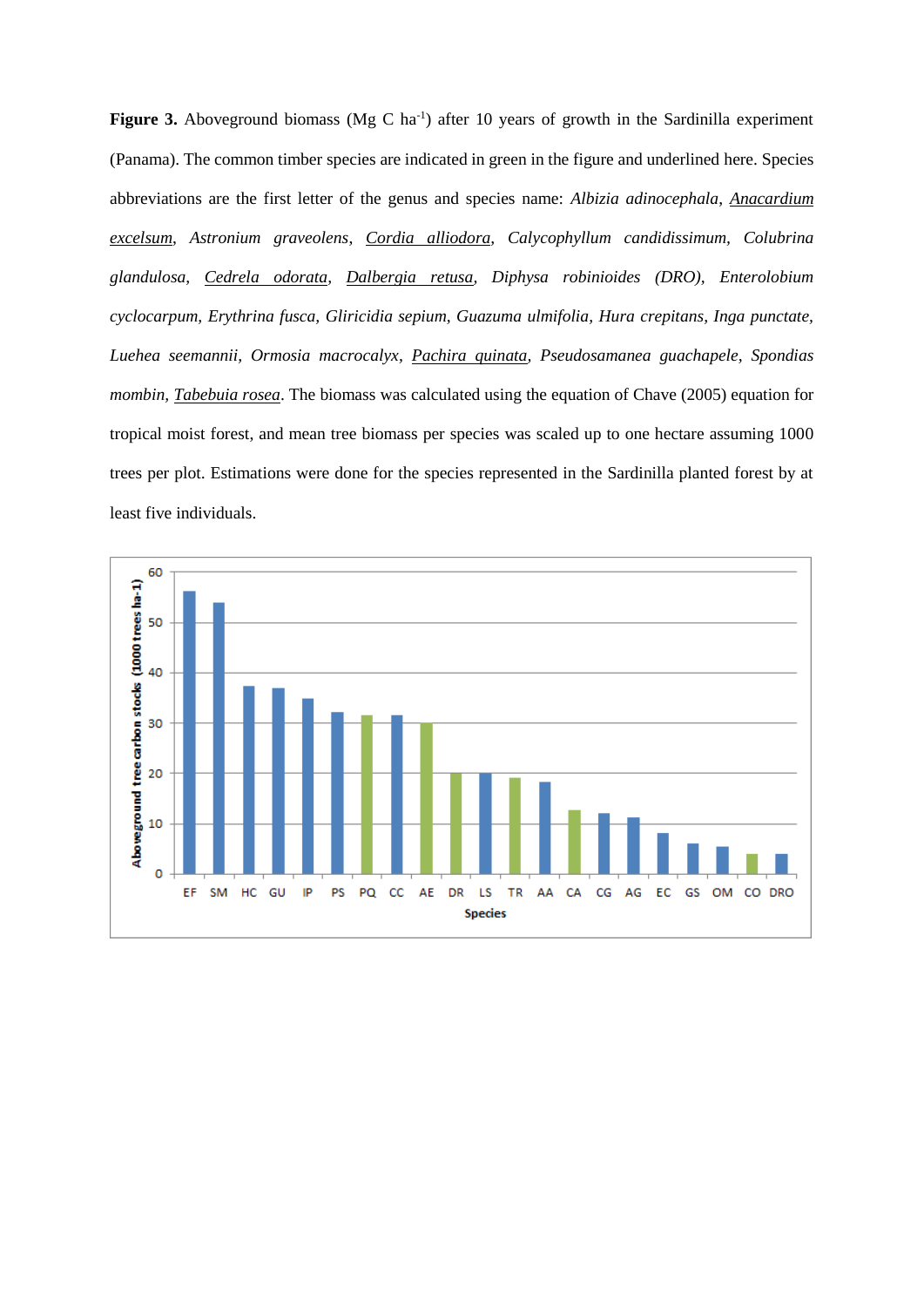Figure 3. Aboveground biomass (Mg C ha<sup>-1</sup>) after 10 years of growth in the Sardinilla experiment (Panama). The common timber species are indicated in green in the figure and underlined here. Species abbreviations are the first letter of the genus and species name: *Albizia adinocephala*, *Anacardium excelsum*, *Astronium graveolens*, *Cordia alliodora, Calycophyllum candidissimum, Colubrina glandulosa, Cedrela odorata, Dalbergia retusa, Diphysa robinioides (DRO), Enterolobium cyclocarpum, Erythrina fusca, Gliricidia sepium, Guazuma ulmifolia, Hura crepitans, Inga punctate, Luehea seemannii, Ormosia macrocalyx, Pachira quinata, Pseudosamanea guachapele, Spondias mombin, Tabebuia rosea*. The biomass was calculated using the equation of Chave (2005) equation for tropical moist forest, and mean tree biomass per species was scaled up to one hectare assuming 1000 trees per plot. Estimations were done for the species represented in the Sardinilla planted forest by at least five individuals.

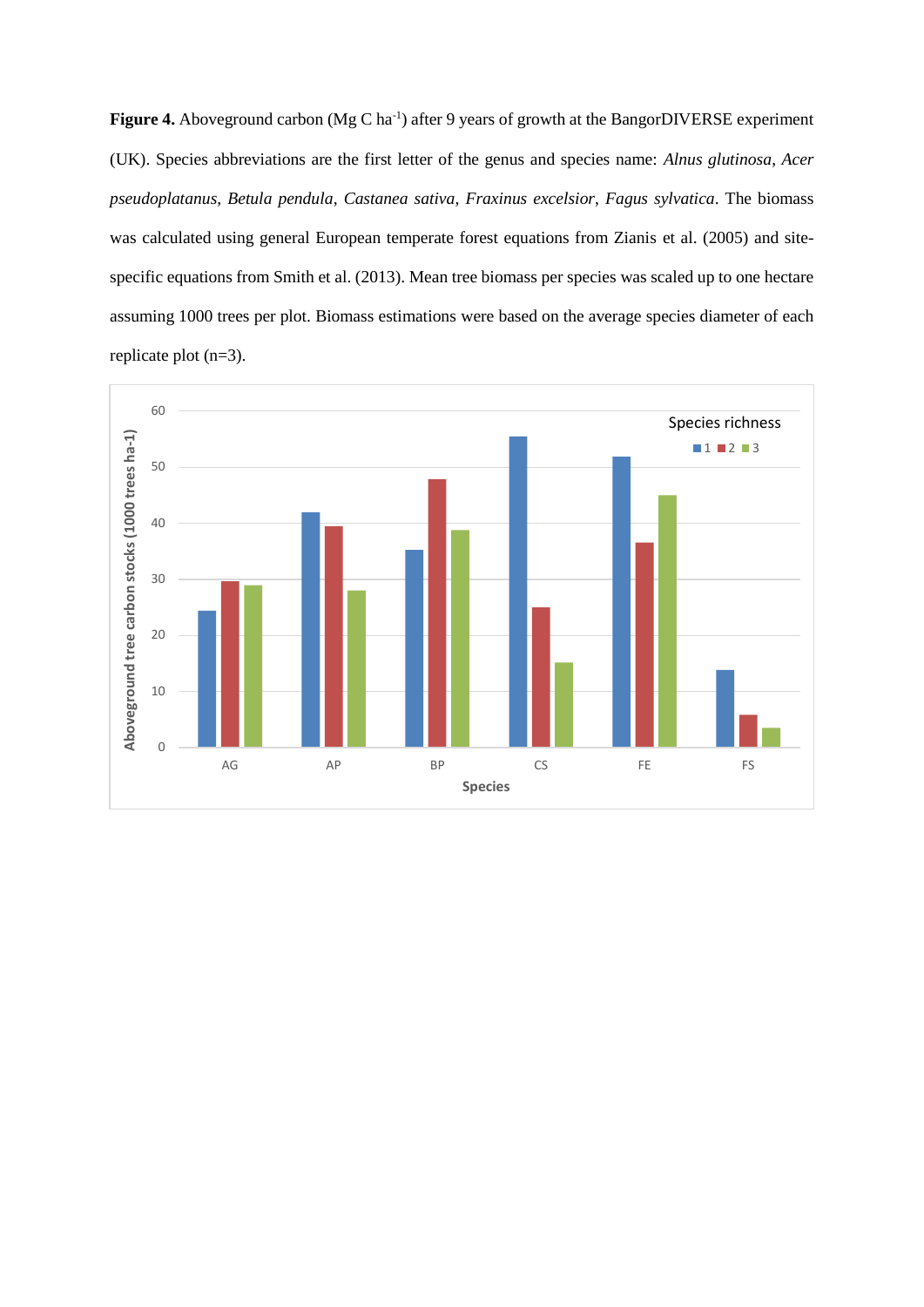Figure 4. Aboveground carbon (Mg C ha<sup>-1</sup>) after 9 years of growth at the BangorDIVERSE experiment (UK). Species abbreviations are the first letter of the genus and species name: *Alnus glutinosa*, *Acer pseudoplatanus*, *Betula pendula*, *Castanea sativa*, *Fraxinus excelsior*, *Fagus sylvatica*. The biomass was calculated using general European temperate forest equations from Zianis et al. (2005) and sitespecific equations from Smith et al. (2013). Mean tree biomass per species was scaled up to one hectare assuming 1000 trees per plot. Biomass estimations were based on the average species diameter of each replicate plot (n=3).